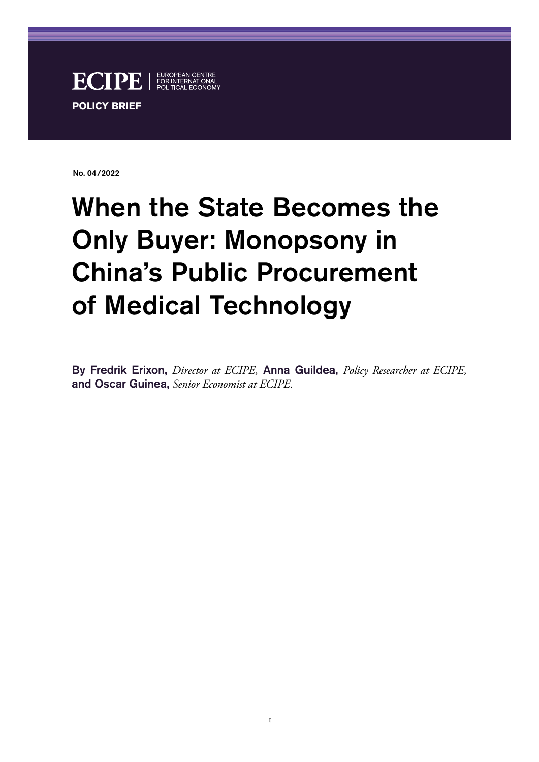

No. 04/2022

# When the State Becomes the Only Buyer: Monopsony in China's Public Procurement of Medical Technology

By Fredrik Erixon, *Director at ECIPE,* Anna Guildea, *Policy Researcher at ECIPE,*  and Oscar Guinea, *Senior Economist at ECIPE.*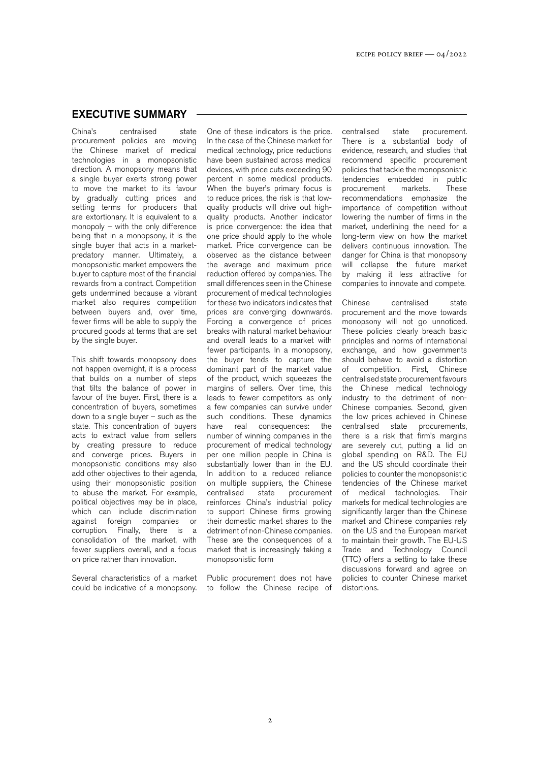#### EXECUTIVE SUMMARY

China's centralised state procurement policies are moving the Chinese market of medical technologies in a monopsonistic direction. A monopsony means that a single buyer exerts strong power to move the market to its favour by gradually cutting prices and setting terms for producers that are extortionary. It is equivalent to a monopoly – with the only difference being that in a monopsony, it is the single buyer that acts in a marketpredatory manner. Ultimately, a monopsonistic market empowers the buyer to capture most of the financial rewards from a contract. Competition gets undermined because a vibrant market also requires competition between buyers and, over time, fewer firms will be able to supply the procured goods at terms that are set by the single buyer.

This shift towards monopsony does not happen overnight, it is a process that builds on a number of steps that tilts the balance of power in favour of the buyer. First, there is a concentration of buyers, sometimes down to a single buyer – such as the state. This concentration of buyers acts to extract value from sellers by creating pressure to reduce and converge prices. Buyers in monopsonistic conditions may also add other objectives to their agenda, using their monopsonistic position to abuse the market. For example, political objectives may be in place, which can include discrimination against foreign companies or corruption. Finally, there is a consolidation of the market, with fewer suppliers overall, and a focus on price rather than innovation.

Several characteristics of a market could be indicative of a monopsony.

One of these indicators is the price. In the case of the Chinese market for medical technology, price reductions have been sustained across medical devices, with price cuts exceeding 90 percent in some medical products. When the buyer's primary focus is to reduce prices, the risk is that lowquality products will drive out highquality products. Another indicator is price convergence: the idea that one price should apply to the whole market. Price convergence can be observed as the distance between the average and maximum price reduction offered by companies. The small differences seen in the Chinese procurement of medical technologies for these two indicators indicates that prices are converging downwards. Forcing a convergence of prices breaks with natural market behaviour and overall leads to a market with fewer participants. In a monopsony, the buyer tends to capture the dominant part of the market value of the product, which squeezes the margins of sellers. Over time, this leads to fewer competitors as only a few companies can survive under such conditions. These dynamics have real consequences: the number of winning companies in the procurement of medical technology per one million people in China is substantially lower than in the EU. In addition to a reduced reliance on multiple suppliers, the Chinese<br>centralised state procurement procurement reinforces China's industrial policy to support Chinese firms growing their domestic market shares to the detriment of non-Chinese companies. These are the consequences of a market that is increasingly taking a monopsonistic form

Public procurement does not have to follow the Chinese recipe of centralised state procurement. There is a substantial body of evidence, research, and studies that recommend specific procurement policies that tackle the monopsonistic tendencies embedded in public<br>procurement markets. These procurement recommendations emphasize the importance of competition without lowering the number of firms in the market, underlining the need for a long-term view on how the market delivers continuous innovation. The danger for China is that monopsony will collapse the future market by making it less attractive for companies to innovate and compete.

Chinese centralised state procurement and the move towards monopsony will not go unnoticed. These policies clearly breach basic principles and norms of international exchange, and how governments should behave to avoid a distortion of competition. First, Chinese centralised state procurement favours the Chinese medical technology industry to the detriment of non-Chinese companies. Second, given the low prices achieved in Chinese centralised state procurements, there is a risk that firm's margins are severely cut, putting a lid on global spending on R&D. The EU and the US should coordinate their policies to counter the monopsonistic .<br>tendencies of the Chinese market of medical technologies. Their markets for medical technologies are significantly larger than the Chinese market and Chinese companies rely on the US and the European market to maintain their growth. The EU-US Trade and Technology Council (TTC) offers a setting to take these discussions forward and agree on policies to counter Chinese market distortions.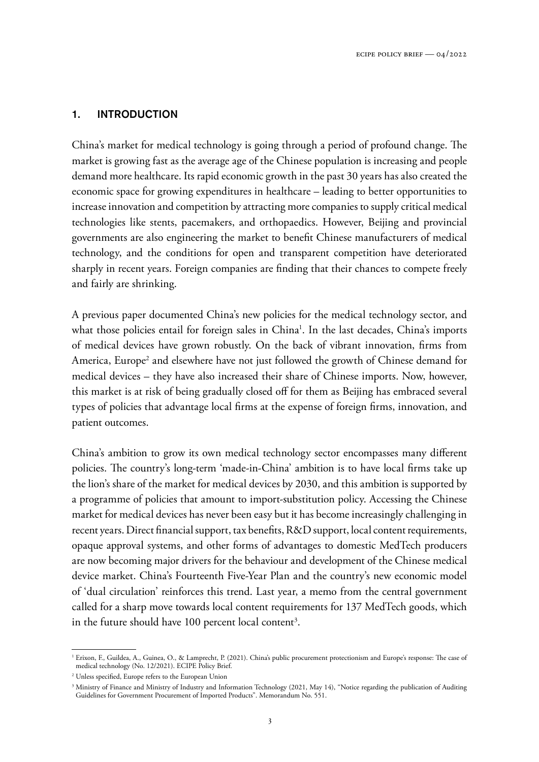#### 1. INTRODUCTION

China's market for medical technology is going through a period of profound change. The market is growing fast as the average age of the Chinese population is increasing and people demand more healthcare. Its rapid economic growth in the past 30 years has also created the economic space for growing expenditures in healthcare – leading to better opportunities to increase innovation and competition by attracting more companies to supply critical medical technologies like stents, pacemakers, and orthopaedics. However, Beijing and provincial governments are also engineering the market to benefit Chinese manufacturers of medical technology, and the conditions for open and transparent competition have deteriorated sharply in recent years. Foreign companies are finding that their chances to compete freely and fairly are shrinking.

A previous paper documented China's new policies for the medical technology sector, and what those policies entail for foreign sales in China<sup>1</sup>. In the last decades, China's imports of medical devices have grown robustly. On the back of vibrant innovation, firms from America, Europe<sup>2</sup> and elsewhere have not just followed the growth of Chinese demand for medical devices – they have also increased their share of Chinese imports. Now, however, this market is at risk of being gradually closed off for them as Beijing has embraced several types of policies that advantage local firms at the expense of foreign firms, innovation, and patient outcomes.

China's ambition to grow its own medical technology sector encompasses many different policies. The country's long-term 'made-in-China' ambition is to have local firms take up the lion's share of the market for medical devices by 2030, and this ambition is supported by a programme of policies that amount to import-substitution policy. Accessing the Chinese market for medical devices has never been easy but it has become increasingly challenging in recent years. Direct financial support, tax benefits, R&D support, local content requirements, opaque approval systems, and other forms of advantages to domestic MedTech producers are now becoming major drivers for the behaviour and development of the Chinese medical device market. China's Fourteenth Five-Year Plan and the country's new economic model of 'dual circulation' reinforces this trend. Last year, a memo from the central government called for a sharp move towards local content requirements for 137 MedTech goods, which in the future should have  $100$  percent local content<sup>3</sup>.

<sup>&</sup>lt;sup>1</sup> Erixon, F., Guildea, A., Guinea, O., & Lamprecht, P. (2021). China's public procurement protectionism and Europe's response: The case of medical technology (No. 12/2021). ECIPE Policy Brief.

<sup>2</sup> Unless specified, Europe refers to the European Union

<sup>&</sup>lt;sup>3</sup> Ministry of Finance and Ministry of Industry and Information Technology (2021, May 14), "Notice regarding the publication of Auditing Guidelines for Government Procurement of Imported Products". Memorandum No. 551.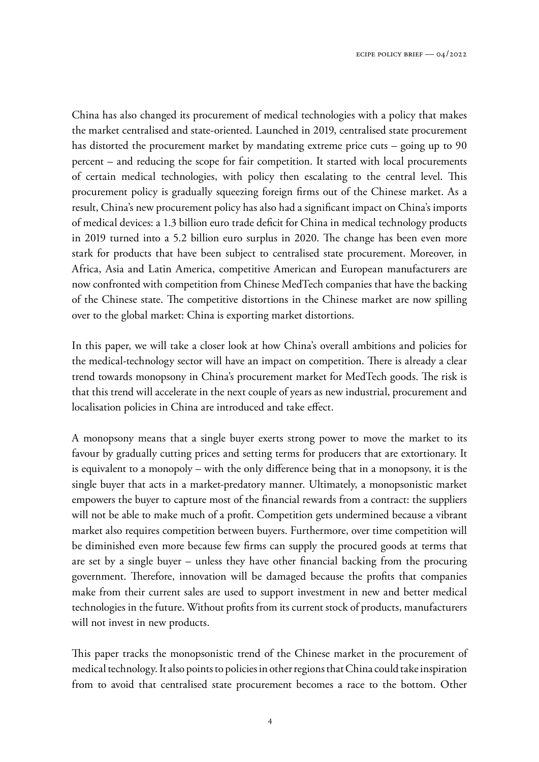China has also changed its procurement of medical technologies with a policy that makes the market centralised and state-oriented. Launched in 2019, centralised state procurement has distorted the procurement market by mandating extreme price cuts – going up to 90 percent – and reducing the scope for fair competition. It started with local procurements of certain medical technologies, with policy then escalating to the central level. This procurement policy is gradually squeezing foreign firms out of the Chinese market. As a result, China's new procurement policy has also had a significant impact on China's imports of medical devices: a 1.3 billion euro trade deficit for China in medical technology products in 2019 turned into a 5.2 billion euro surplus in 2020. The change has been even more stark for products that have been subject to centralised state procurement. Moreover, in Africa, Asia and Latin America, competitive American and European manufacturers are now confronted with competition from Chinese MedTech companies that have the backing of the Chinese state. The competitive distortions in the Chinese market are now spilling over to the global market: China is exporting market distortions.

In this paper, we will take a closer look at how China's overall ambitions and policies for the medical-technology sector will have an impact on competition. There is already a clear trend towards monopsony in China's procurement market for MedTech goods. The risk is that this trend will accelerate in the next couple of years as new industrial, procurement and localisation policies in China are introduced and take effect.

A monopsony means that a single buyer exerts strong power to move the market to its favour by gradually cutting prices and setting terms for producers that are extortionary. It is equivalent to a monopoly – with the only difference being that in a monopsony, it is the single buyer that acts in a market-predatory manner. Ultimately, a monopsonistic market empowers the buyer to capture most of the financial rewards from a contract: the suppliers will not be able to make much of a profit. Competition gets undermined because a vibrant market also requires competition between buyers. Furthermore, over time competition will be diminished even more because few firms can supply the procured goods at terms that are set by a single buyer – unless they have other financial backing from the procuring government. Therefore, innovation will be damaged because the profits that companies make from their current sales are used to support investment in new and better medical technologies in the future. Without profits from its current stock of products, manufacturers will not invest in new products.

This paper tracks the monopsonistic trend of the Chinese market in the procurement of medical technology. It also points to policies in other regions that China could take inspiration from to avoid that centralised state procurement becomes a race to the bottom. Other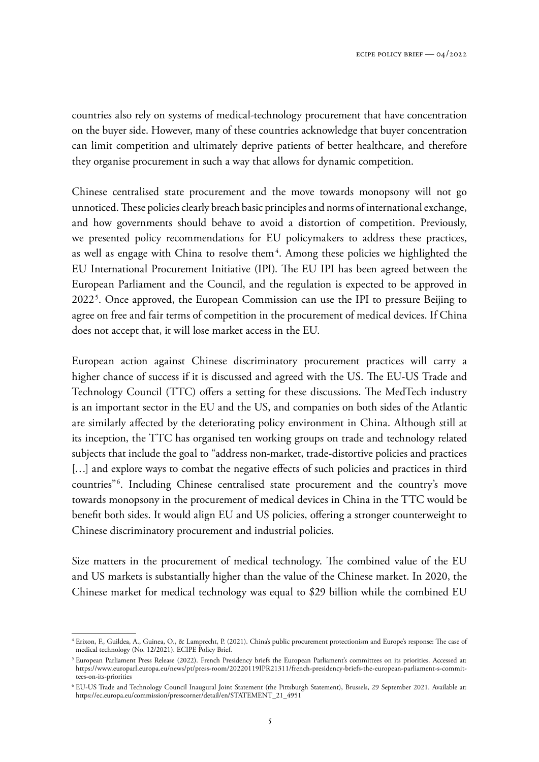countries also rely on systems of medical-technology procurement that have concentration on the buyer side. However, many of these countries acknowledge that buyer concentration can limit competition and ultimately deprive patients of better healthcare, and therefore they organise procurement in such a way that allows for dynamic competition.

Chinese centralised state procurement and the move towards monopsony will not go unnoticed. These policies clearly breach basic principles and norms of international exchange, and how governments should behave to avoid a distortion of competition. Previously, we presented policy recommendations for EU policymakers to address these practices, as well as engage with China to resolve them<sup>4</sup>. Among these policies we highlighted the EU International Procurement Initiative (IPI). The EU IPI has been agreed between the European Parliament and the Council, and the regulation is expected to be approved in 2022<sup>5</sup>. Once approved, the European Commission can use the IPI to pressure Beijing to agree on free and fair terms of competition in the procurement of medical devices. If China does not accept that, it will lose market access in the EU.

European action against Chinese discriminatory procurement practices will carry a higher chance of success if it is discussed and agreed with the US. The EU-US Trade and Technology Council (TTC) offers a setting for these discussions. The MedTech industry is an important sector in the EU and the US, and companies on both sides of the Atlantic are similarly affected by the deteriorating policy environment in China. Although still at its inception, the TTC has organised ten working groups on trade and technology related subjects that include the goal to "address non-market, trade-distortive policies and practices [...] and explore ways to combat the negative effects of such policies and practices in third countries"<sup>6</sup> . Including Chinese centralised state procurement and the country's move towards monopsony in the procurement of medical devices in China in the TTC would be benefit both sides. It would align EU and US policies, offering a stronger counterweight to Chinese discriminatory procurement and industrial policies.

Size matters in the procurement of medical technology. The combined value of the EU and US markets is substantially higher than the value of the Chinese market. In 2020, the Chinese market for medical technology was equal to \$29 billion while the combined EU

<sup>4</sup> Erixon, F., Guildea, A., Guinea, O., & Lamprecht, P. (2021). China's public procurement protectionism and Europe's response: The case of medical technology (No. 12/2021). ECIPE Policy Brief.

<sup>5</sup> European Parliament Press Release (2022). French Presidency briefs the European Parliament's committees on its priorities. Accessed at: [https://www.europarl.europa.eu/news/pt/press-room/20220119IPR21311/french-presidency-briefs-the-european-parliament-s-commit](https://www.europarl.europa.eu/news/pt/press-room/20220119IPR21311/french-presidency-briefs-the-european-parliament-s-committees-on-its-priorities)[tees-on-its-priorities](https://www.europarl.europa.eu/news/pt/press-room/20220119IPR21311/french-presidency-briefs-the-european-parliament-s-committees-on-its-priorities)

<sup>6</sup> EU-US Trade and Technology Council Inaugural Joint Statement (the Pittsburgh Statement), Brussels, 29 September 2021. Available at: [https://ec.europa.eu/commission/presscorner/detail/en/STATEMENT\\_21\\_4951](https://ec.europa.eu/commission/presscorner/detail/en/STATEMENT_21_4951)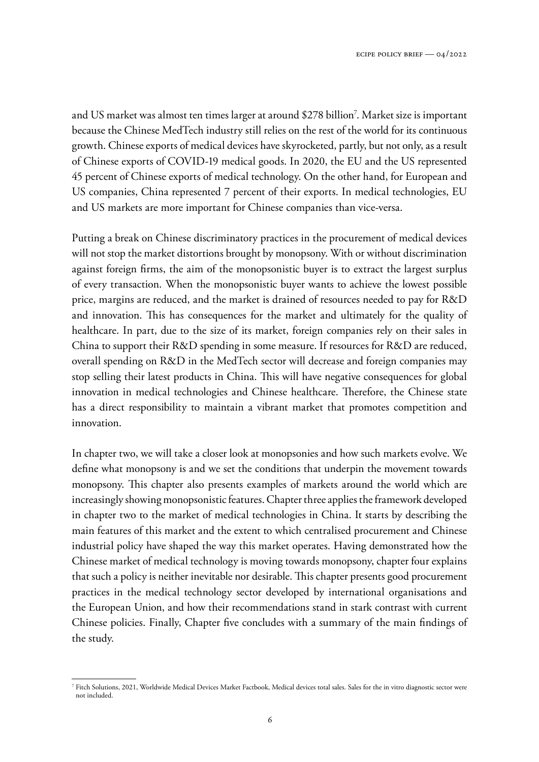and US market was almost ten times larger at around \$278 billion<sup>7</sup> . Market size is important because the Chinese MedTech industry still relies on the rest of the world for its continuous growth. Chinese exports of medical devices have skyrocketed, partly, but not only, as a result of Chinese exports of COVID-19 medical goods. In 2020, the EU and the US represented 45 percent of Chinese exports of medical technology. On the other hand, for European and US companies, China represented 7 percent of their exports. In medical technologies, EU and US markets are more important for Chinese companies than vice-versa.

Putting a break on Chinese discriminatory practices in the procurement of medical devices will not stop the market distortions brought by monopsony. With or without discrimination against foreign firms, the aim of the monopsonistic buyer is to extract the largest surplus of every transaction. When the monopsonistic buyer wants to achieve the lowest possible price, margins are reduced, and the market is drained of resources needed to pay for R&D and innovation. This has consequences for the market and ultimately for the quality of healthcare. In part, due to the size of its market, foreign companies rely on their sales in China to support their R&D spending in some measure. If resources for R&D are reduced, overall spending on R&D in the MedTech sector will decrease and foreign companies may stop selling their latest products in China. This will have negative consequences for global innovation in medical technologies and Chinese healthcare. Therefore, the Chinese state has a direct responsibility to maintain a vibrant market that promotes competition and innovation.

In chapter two, we will take a closer look at monopsonies and how such markets evolve. We define what monopsony is and we set the conditions that underpin the movement towards monopsony. This chapter also presents examples of markets around the world which are increasingly showing monopsonistic features. Chapter three applies the framework developed in chapter two to the market of medical technologies in China. It starts by describing the main features of this market and the extent to which centralised procurement and Chinese industrial policy have shaped the way this market operates. Having demonstrated how the Chinese market of medical technology is moving towards monopsony, chapter four explains that such a policy is neither inevitable nor desirable. This chapter presents good procurement practices in the medical technology sector developed by international organisations and the European Union, and how their recommendations stand in stark contrast with current Chinese policies. Finally, Chapter five concludes with a summary of the main findings of the study.

<sup>7</sup> Fitch Solutions, 2021, Worldwide Medical Devices Market Factbook, Medical devices total sales. Sales for the in vitro diagnostic sector were not included.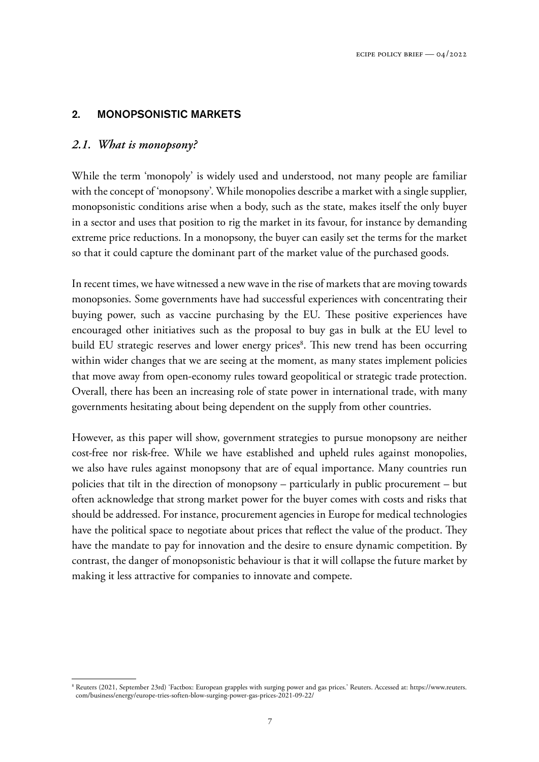# 2. MONOPSONISTIC MARKETS

# *2.1. What is monopsony?*

While the term 'monopoly' is widely used and understood, not many people are familiar with the concept of 'monopsony'. While monopolies describe a market with a single supplier, monopsonistic conditions arise when a body, such as the state, makes itself the only buyer in a sector and uses that position to rig the market in its favour, for instance by demanding extreme price reductions. In a monopsony, the buyer can easily set the terms for the market so that it could capture the dominant part of the market value of the purchased goods.

In recent times, we have witnessed a new wave in the rise of markets that are moving towards monopsonies. Some governments have had successful experiences with concentrating their buying power, such as vaccine purchasing by the EU. These positive experiences have encouraged other initiatives such as the proposal to buy gas in bulk at the EU level to build EU strategic reserves and lower energy prices<sup>8</sup>. This new trend has been occurring within wider changes that we are seeing at the moment, as many states implement policies that move away from open-economy rules toward geopolitical or strategic trade protection. Overall, there has been an increasing role of state power in international trade, with many governments hesitating about being dependent on the supply from other countries.

However, as this paper will show, government strategies to pursue monopsony are neither cost-free nor risk-free. While we have established and upheld rules against monopolies, we also have rules against monopsony that are of equal importance. Many countries run policies that tilt in the direction of monopsony – particularly in public procurement – but often acknowledge that strong market power for the buyer comes with costs and risks that should be addressed. For instance, procurement agencies in Europe for medical technologies have the political space to negotiate about prices that reflect the value of the product. They have the mandate to pay for innovation and the desire to ensure dynamic competition. By contrast, the danger of monopsonistic behaviour is that it will collapse the future market by making it less attractive for companies to innovate and compete.

<sup>8</sup> Reuters (2021, September 23rd) 'Factbox: European grapples with surging power and gas prices.' Reuters. Accessed at: [https://www.reuters.](https://www.reuters.com/business/energy/europe-tries-soften-blow-surging-power-gas-prices-2021-09-22/) [com/business/energy/europe-tries-soften-blow-surging-power-gas-prices-2021-09-22/](https://www.reuters.com/business/energy/europe-tries-soften-blow-surging-power-gas-prices-2021-09-22/)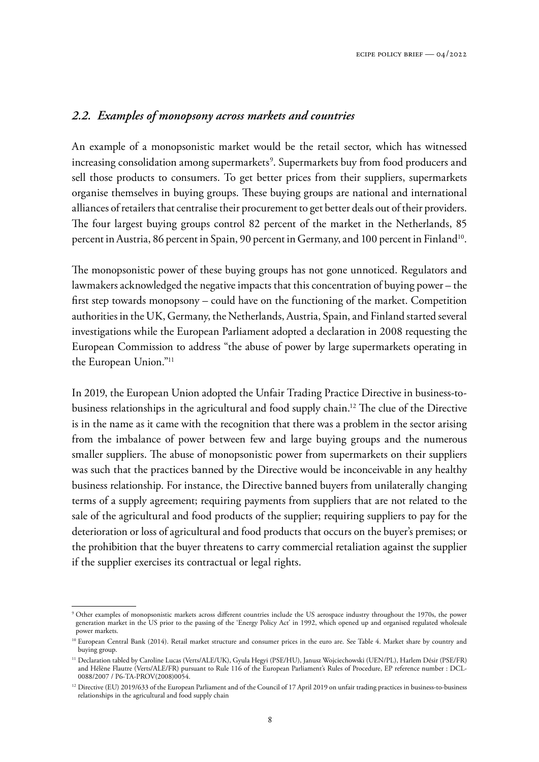# *2.2. Examples of monopsony across markets and countries*

An example of a monopsonistic market would be the retail sector, which has witnessed increasing consolidation among supermarkets<sup>9</sup>. Supermarkets buy from food producers and sell those products to consumers. To get better prices from their suppliers, supermarkets organise themselves in buying groups. These buying groups are national and international alliances of retailers that centralise their procurement to get better deals out of their providers. The four largest buying groups control 82 percent of the market in the Netherlands, 85 percent in Austria, 86 percent in Spain, 90 percent in Germany, and 100 percent in Finland<sup>10</sup>.

The monopsonistic power of these buying groups has not gone unnoticed. Regulators and lawmakers acknowledged the negative impacts that this concentration of buying power – the first step towards monopsony – could have on the functioning of the market. Competition authorities in the UK, Germany, the Netherlands, Austria, Spain, and Finland started several investigations while the European Parliament adopted a declaration in 2008 requesting the European Commission to address "the abuse of power by large supermarkets operating in the European Union."<sup>11</sup>

In 2019, the European Union adopted the Unfair Trading Practice Directive in business-tobusiness relationships in the agricultural and food supply chain.<sup>12</sup> The clue of the Directive is in the name as it came with the recognition that there was a problem in the sector arising from the imbalance of power between few and large buying groups and the numerous smaller suppliers. The abuse of monopsonistic power from supermarkets on their suppliers was such that the practices banned by the Directive would be inconceivable in any healthy business relationship. For instance, the Directive banned buyers from unilaterally changing terms of a supply agreement; requiring payments from suppliers that are not related to the sale of the agricultural and food products of the supplier; requiring suppliers to pay for the deterioration or loss of agricultural and food products that occurs on the buyer's premises; or the prohibition that the buyer threatens to carry commercial retaliation against the supplier if the supplier exercises its contractual or legal rights.

<sup>9</sup> Other examples of monopsonistic markets across different countries include the US aerospace industry throughout the 1970s, the power generation market in the US prior to the passing of the 'Energy Policy Act' in 1992, which opened up and organised regulated wholesale power markets.

<sup>&</sup>lt;sup>10</sup> European Central Bank (2014). Retail market structure and consumer prices in the euro are. See Table 4. Market share by country and buying group.

<sup>11</sup> Declaration tabled by Caroline Lucas (Verts/ALE/UK), Gyula Hegyi (PSE/HU), Janusz Wojciechowski (UEN/PL), Harlem Désir (PSE/FR) and Hélène Flautre (Verts/ALE/FR) pursuant to Rule 116 of the European Parliament's Rules of Procedure, EP reference number : DCL-0088/2007 / P6-TA-PROV(2008)0054.

<sup>&</sup>lt;sup>12</sup> Directive (EU) 2019/633 of the European Parliament and of the Council of 17 April 2019 on unfair trading practices in business-to-business relationships in the agricultural and food supply chain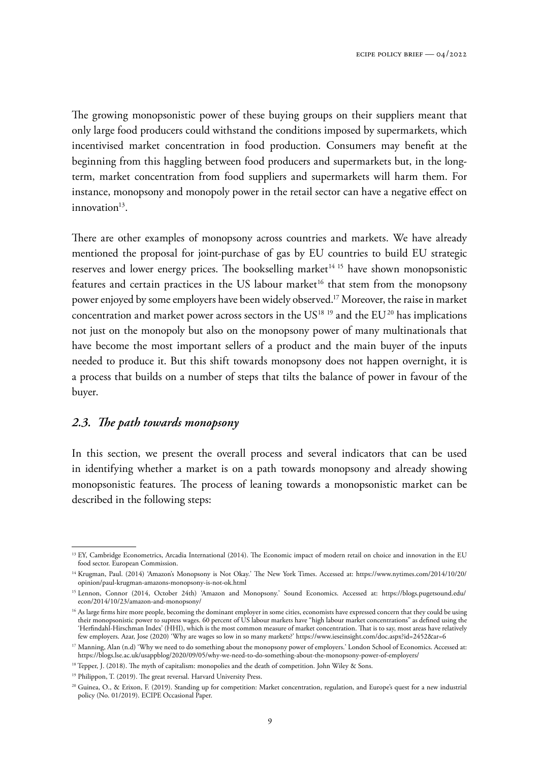The growing monopsonistic power of these buying groups on their suppliers meant that only large food producers could withstand the conditions imposed by supermarkets, which incentivised market concentration in food production. Consumers may benefit at the beginning from this haggling between food producers and supermarkets but, in the longterm, market concentration from food suppliers and supermarkets will harm them. For instance, monopsony and monopoly power in the retail sector can have a negative effect on innovation<sup>13</sup>.

There are other examples of monopsony across countries and markets. We have already mentioned the proposal for joint-purchase of gas by EU countries to build EU strategic reserves and lower energy prices. The bookselling market<sup>14 15</sup> have shown monopsonistic features and certain practices in the US labour market<sup>16</sup> that stem from the monopsony power enjoyed by some employers have been widely observed.<sup>17</sup> Moreover, the raise in market concentration and market power across sectors in the  $US^{18}$  <sup>19</sup> and the  $EU^{20}$  has implications not just on the monopoly but also on the monopsony power of many multinationals that have become the most important sellers of a product and the main buyer of the inputs needed to produce it. But this shift towards monopsony does not happen overnight, it is a process that builds on a number of steps that tilts the balance of power in favour of the buyer.

#### *2.3. The path towards monopsony*

In this section, we present the overall process and several indicators that can be used in identifying whether a market is on a path towards monopsony and already showing monopsonistic features. The process of leaning towards a monopsonistic market can be described in the following steps:

<sup>&</sup>lt;sup>13</sup> EY, Cambridge Econometrics, Arcadia International (2014). The Economic impact of modern retail on choice and innovation in the EU food sector. European Commission.

<sup>14</sup> Krugman, Paul. (2014) 'Amazon's Monopsony is Not Okay.' The New York Times. Accessed at: [https://www.nytimes.com/2014/10/20/](https://www.nytimes.com/2014/10/20/opinion/paul-krugman-amazons-monopsony-is-not-ok.html) [opinion/paul-krugman-amazons-monopsony-is-not-ok.html](https://www.nytimes.com/2014/10/20/opinion/paul-krugman-amazons-monopsony-is-not-ok.html)

<sup>15</sup> Lennon, Connor (2014, October 24th) 'Amazon and Monopsony.' Sound Economics. Accessed at: [https://blogs.pugetsound.edu/](https://blogs.pugetsound.edu/econ/2014/10/23/amazon-and-monopsony/) [econ/2014/10/23/amazon-and-monopsony/](https://blogs.pugetsound.edu/econ/2014/10/23/amazon-and-monopsony/)

<sup>&</sup>lt;sup>16</sup> As large firms hire more people, becoming the dominant employer in some cities, economists have expressed concern that they could be using their monopsonistic power to supress wages. 60 percent of US labour markets have "high labour market concentrations" as defined using the 'Herfindahl-Hirschman Index' (HHI), which is the most common measure of market concentration. That is to say, most areas have relatively few employers. Azar, Jose (2020) 'Why are wages so low in so many markets?' <https://www.ieseinsight.com/doc.aspx?id=2452&ar=6>

<sup>&</sup>lt;sup>17</sup> Manning, Alan (n.d) 'Why we need to do something about the monopsony power of employers.' London School of Economics. Accessed at: <https://blogs.lse.ac.uk/usappblog/2020/09/05/why-we-need-to-do-something-about-the-monopsony-power-of-employers/>

<sup>&</sup>lt;sup>18</sup> Tepper, J. (2018). The myth of capitalism: monopolies and the death of competition. John Wiley & Sons.

<sup>&</sup>lt;sup>19</sup> Philippon, T. (2019). The great reversal. Harvard University Press.

<sup>&</sup>lt;sup>20</sup> Guinea, O., & Erixon, F. (2019). Standing up for competition: Market concentration, regulation, and Europe's quest for a new industrial policy (No. 01/2019). ECIPE Occasional Paper.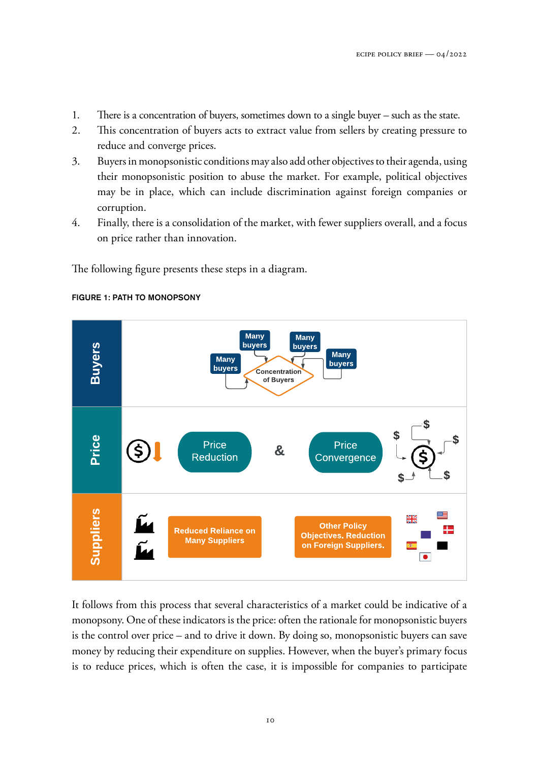- 1. There is a concentration of buyers, sometimes down to a single buyer such as the state.
- 2. This concentration of buyers acts to extract value from sellers by creating pressure to reduce and converge prices.
- 3. Buyers in monopsonistic conditions may also add other objectives to their agenda, using their monopsonistic position to abuse the market. For example, political objectives may be in place, which can include discrimination against foreign companies or corruption.
- 4. Finally, there is a consolidation of the market, with fewer suppliers overall, and a focus on price rather than innovation.

The following figure presents these steps in a diagram.



#### FIGURE 1: PATH TO MONOPSONY

It follows from this process that several characteristics of a market could be indicative of a monopsony. One of these indicators is the price: often the rationale for monopsonistic buyers is the control over price – and to drive it down. By doing so, monopsonistic buyers can save money by reducing their expenditure on supplies. However, when the buyer's primary focus is to reduce prices, which is often the case, it is impossible for companies to participate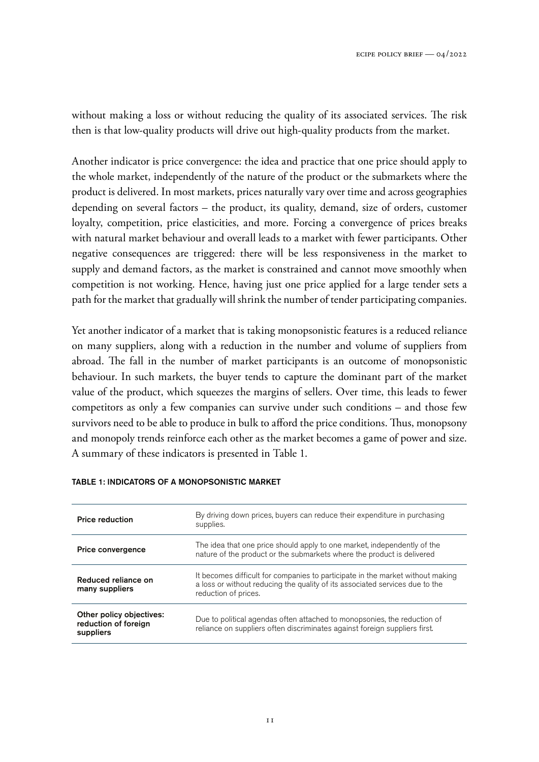without making a loss or without reducing the quality of its associated services. The risk then is that low-quality products will drive out high-quality products from the market.

Another indicator is price convergence: the idea and practice that one price should apply to the whole market, independently of the nature of the product or the submarkets where the product is delivered. In most markets, prices naturally vary over time and across geographies depending on several factors – the product, its quality, demand, size of orders, customer loyalty, competition, price elasticities, and more. Forcing a convergence of prices breaks with natural market behaviour and overall leads to a market with fewer participants. Other negative consequences are triggered: there will be less responsiveness in the market to supply and demand factors, as the market is constrained and cannot move smoothly when competition is not working. Hence, having just one price applied for a large tender sets a path for the market that gradually will shrink the number of tender participating companies.

Yet another indicator of a market that is taking monopsonistic features is a reduced reliance on many suppliers, along with a reduction in the number and volume of suppliers from abroad. The fall in the number of market participants is an outcome of monopsonistic behaviour. In such markets, the buyer tends to capture the dominant part of the market value of the product, which squeezes the margins of sellers. Over time, this leads to fewer competitors as only a few companies can survive under such conditions – and those few survivors need to be able to produce in bulk to afford the price conditions. Thus, monopsony and monopoly trends reinforce each other as the market becomes a game of power and size. A summary of these indicators is presented in Table 1.

| <b>Price reduction</b>                                        | By driving down prices, buyers can reduce their expenditure in purchasing<br>supplies.                                                                                                 |
|---------------------------------------------------------------|----------------------------------------------------------------------------------------------------------------------------------------------------------------------------------------|
| <b>Price convergence</b>                                      | The idea that one price should apply to one market, independently of the<br>nature of the product or the submarkets where the product is delivered                                     |
| Reduced reliance on<br>many suppliers                         | It becomes difficult for companies to participate in the market without making<br>a loss or without reducing the quality of its associated services due to the<br>reduction of prices. |
| Other policy objectives:<br>reduction of foreign<br>suppliers | Due to political agendas often attached to monopsonies, the reduction of<br>reliance on suppliers often discriminates against foreign suppliers first.                                 |

#### TABLE 1: INDICATORS OF A MONOPSONISTIC MARKET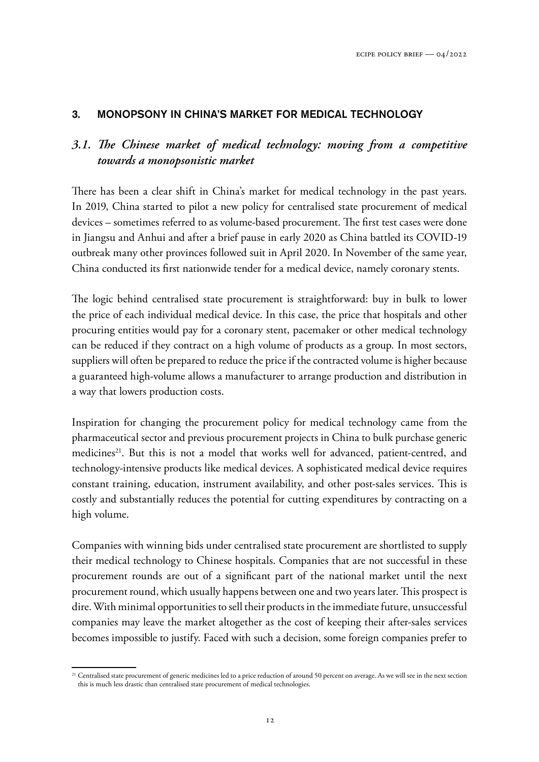# 3. MONOPSONY IN CHINA'S MARKET FOR MEDICAL TECHNOLOGY

# *3.1. The Chinese market of medical technology: moving from a competitive towards a monopsonistic market*

There has been a clear shift in China's market for medical technology in the past years. In 2019, China started to pilot a new policy for centralised state procurement of medical devices – sometimes referred to as volume-based procurement. The first test cases were done in Jiangsu and Anhui and after a brief pause in early 2020 as China battled its COVID-19 outbreak many other provinces followed suit in April 2020. In November of the same year, China conducted its first nationwide tender for a medical device, namely coronary stents.

The logic behind centralised state procurement is straightforward: buy in bulk to lower the price of each individual medical device. In this case, the price that hospitals and other procuring entities would pay for a coronary stent, pacemaker or other medical technology can be reduced if they contract on a high volume of products as a group. In most sectors, suppliers will often be prepared to reduce the price if the contracted volume is higher because a guaranteed high-volume allows a manufacturer to arrange production and distribution in a way that lowers production costs.

Inspiration for changing the procurement policy for medical technology came from the pharmaceutical sector and previous procurement projects in China to bulk purchase generic medicines<sup>21</sup>. But this is not a model that works well for advanced, patient-centred, and technology-intensive products like medical devices. A sophisticated medical device requires constant training, education, instrument availability, and other post-sales services. This is costly and substantially reduces the potential for cutting expenditures by contracting on a high volume.

Companies with winning bids under centralised state procurement are shortlisted to supply their medical technology to Chinese hospitals. Companies that are not successful in these procurement rounds are out of a significant part of the national market until the next procurement round, which usually happens between one and two years later. This prospect is dire. With minimal opportunities to sell their products in the immediate future, unsuccessful companies may leave the market altogether as the cost of keeping their after-sales services becomes impossible to justify. Faced with such a decision, some foreign companies prefer to

<sup>&</sup>lt;sup>21</sup> Centralised state procurement of generic medicines led to a price reduction of around 50 percent on average. As we will see in the next section this is much less drastic than centralised state procurement of medical technologies.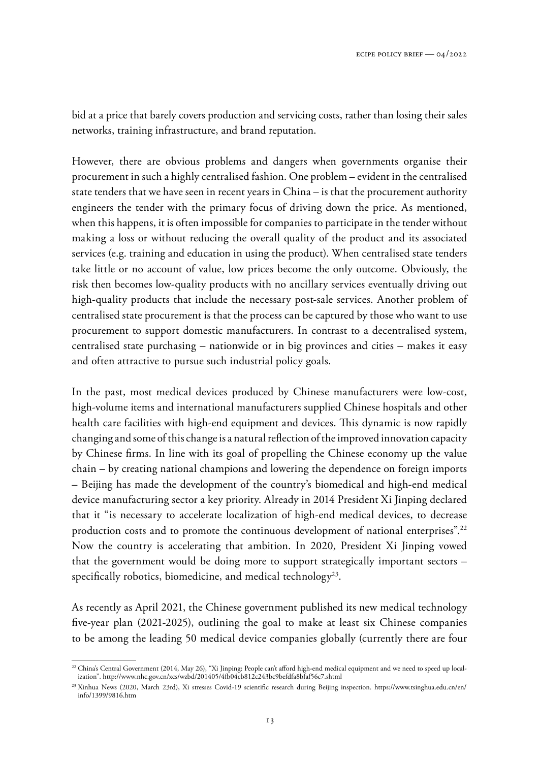bid at a price that barely covers production and servicing costs, rather than losing their sales networks, training infrastructure, and brand reputation.

However, there are obvious problems and dangers when governments organise their procurement in such a highly centralised fashion. One problem – evident in the centralised state tenders that we have seen in recent years in China – is that the procurement authority engineers the tender with the primary focus of driving down the price. As mentioned, when this happens, it is often impossible for companies to participate in the tender without making a loss or without reducing the overall quality of the product and its associated services (e.g. training and education in using the product). When centralised state tenders take little or no account of value, low prices become the only outcome. Obviously, the risk then becomes low-quality products with no ancillary services eventually driving out high-quality products that include the necessary post-sale services. Another problem of centralised state procurement is that the process can be captured by those who want to use procurement to support domestic manufacturers. In contrast to a decentralised system, centralised state purchasing – nationwide or in big provinces and cities – makes it easy and often attractive to pursue such industrial policy goals.

In the past, most medical devices produced by Chinese manufacturers were low-cost, high-volume items and international manufacturers supplied Chinese hospitals and other health care facilities with high-end equipment and devices. This dynamic is now rapidly changing and some of this change is a natural reflection of the improved innovation capacity by Chinese firms. In line with its goal of propelling the Chinese economy up the value chain – by creating national champions and lowering the dependence on foreign imports – Beijing has made the development of the country's biomedical and high-end medical device manufacturing sector a key priority. Already in 2014 President Xi Jinping declared that it "is necessary to accelerate localization of high-end medical devices, to decrease production costs and to promote the continuous development of national enterprises".<sup>22</sup> Now the country is accelerating that ambition. In 2020, President Xi Jinping vowed that the government would be doing more to support strategically important sectors – specifically robotics, biomedicine, and medical technology<sup>23</sup>.

As recently as April 2021, the Chinese government published its new medical technology five-year plan (2021-2025), outlining the goal to make at least six Chinese companies to be among the leading 50 medical device companies globally (currently there are four

<sup>&</sup>lt;sup>22</sup> China's Central Government (2014, May 26), "Xi Jinping: People can't afford high-end medical equipment and we need to speed up localization". <http://www.nhc.gov.cn/xcs/wzbd/201405/4fb04cb812c243bc9befdfa8bfaf56c7.shtml>

<sup>&</sup>lt;sup>23</sup> Xinhua News (2020, March 23rd), Xi stresses Covid-19 scientific research during Beijing inspection. [https://www.tsinghua.edu.cn/en/](https://www.tsinghua.edu.cn/en/info/1399/9816.htm) [info/1399/9816.htm](https://www.tsinghua.edu.cn/en/info/1399/9816.htm)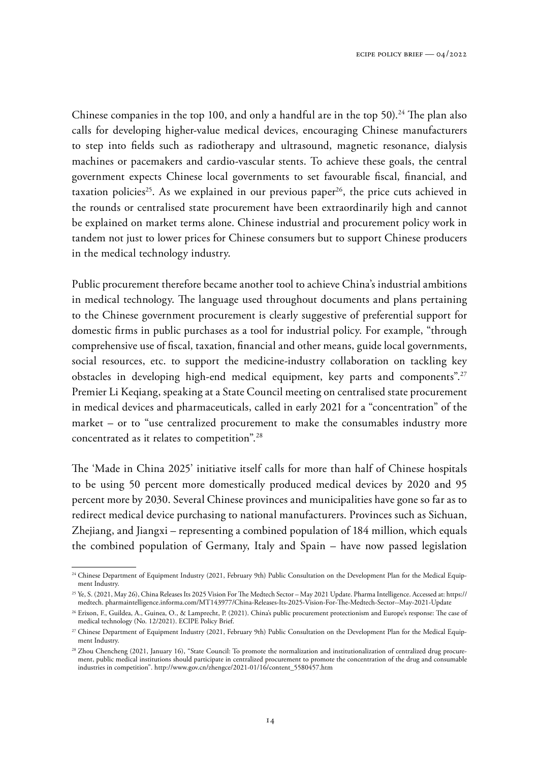Chinese companies in the top 100, and only a handful are in the top 50).<sup>24</sup> The plan also calls for developing higher-value medical devices, encouraging Chinese manufacturers to step into fields such as radiotherapy and ultrasound, magnetic resonance, dialysis machines or pacemakers and cardio-vascular stents. To achieve these goals, the central government expects Chinese local governments to set favourable fiscal, financial, and taxation policies<sup>25</sup>. As we explained in our previous paper<sup>26</sup>, the price cuts achieved in the rounds or centralised state procurement have been extraordinarily high and cannot be explained on market terms alone. Chinese industrial and procurement policy work in tandem not just to lower prices for Chinese consumers but to support Chinese producers in the medical technology industry.

Public procurement therefore became another tool to achieve China's industrial ambitions in medical technology. The language used throughout documents and plans pertaining to the Chinese government procurement is clearly suggestive of preferential support for domestic firms in public purchases as a tool for industrial policy. For example, "through comprehensive use of fiscal, taxation, financial and other means, guide local governments, social resources, etc. to support the medicine-industry collaboration on tackling key obstacles in developing high-end medical equipment, key parts and components".<sup>27</sup> Premier Li Keqiang, speaking at a State Council meeting on centralised state procurement in medical devices and pharmaceuticals, called in early 2021 for a "concentration" of the market – or to "use centralized procurement to make the consumables industry more concentrated as it relates to competition".<sup>28</sup>

The 'Made in China 2025' initiative itself calls for more than half of Chinese hospitals to be using 50 percent more domestically produced medical devices by 2020 and 95 percent more by 2030. Several Chinese provinces and municipalities have gone so far as to redirect medical device purchasing to national manufacturers. Provinces such as Sichuan, Zhejiang, and Jiangxi – representing a combined population of 184 million, which equals the combined population of Germany, Italy and Spain – have now passed legislation

<sup>&</sup>lt;sup>24</sup> Chinese Department of Equipment Industry (2021, February 9th) Public Consultation on the Development Plan for the Medical Equipment Industry.

<sup>25</sup> Ye, S. (2021, May 26), China Releases Its 2025 Vision For The Medtech Sector – May 2021 Update. Pharma Intelligence. Accessed at: [https://](https://medtech. pharmaintelligence.informa.com/MT143977/China-Releases-Its-2025-Vision-For-The-Medtech-Sector--May-2021-Update) [medtech. pharmaintelligence.informa.com/MT143977/China-Releases-Its-2025-Vision-For-The-Medtech-Sector--May-2021-Update](https://medtech. pharmaintelligence.informa.com/MT143977/China-Releases-Its-2025-Vision-For-The-Medtech-Sector--May-2021-Update)

<sup>&</sup>lt;sup>26</sup> Erixon, F., Guildea, A., Guinea, O., & Lamprecht, P. (2021). China's public procurement protectionism and Europe's response: The case of medical technology (No. 12/2021). ECIPE Policy Brief.

<sup>&</sup>lt;sup>27</sup> Chinese Department of Equipment Industry (2021, February 9th) Public Consultation on the Development Plan for the Medical Equipment Industry.

<sup>&</sup>lt;sup>28</sup> Zhou Chencheng (2021, January 16), "State Council: To promote the normalization and institutionalization of centralized drug procurement, public medical institutions should participate in centralized procurement to promote the concentration of the drug and consumable industries in competition". [http://www.gov.cn/zhengce/2021-01/16/content\\_5580457.htm](http://www.gov.cn/zhengce/2021-01/16/content_5580457.htm)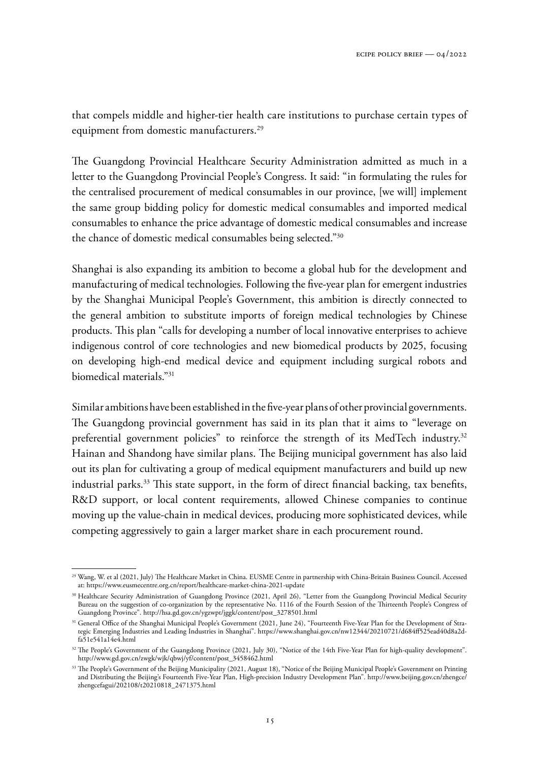that compels middle and higher-tier health care institutions to purchase certain types of equipment from domestic manufacturers.<sup>29</sup>

The Guangdong Provincial Healthcare Security Administration admitted as much in a letter to the Guangdong Provincial People's Congress. It said: "in formulating the rules for the centralised procurement of medical consumables in our province, [we will] implement the same group bidding policy for domestic medical consumables and imported medical consumables to enhance the price advantage of domestic medical consumables and increase the chance of domestic medical consumables being selected."<sup>30</sup>

Shanghai is also expanding its ambition to become a global hub for the development and manufacturing of medical technologies. Following the five-year plan for emergent industries by the Shanghai Municipal People's Government, this ambition is directly connected to the general ambition to substitute imports of foreign medical technologies by Chinese products. This plan "calls for developing a number of local innovative enterprises to achieve indigenous control of core technologies and new biomedical products by 2025, focusing on developing high-end medical device and equipment including surgical robots and biomedical materials."<sup>31</sup>

Similar ambitions have been established in the five-year plans of other provincial governments. The Guangdong provincial government has said in its plan that it aims to "leverage on preferential government policies" to reinforce the strength of its MedTech industry.<sup>32</sup> Hainan and Shandong have similar plans. The Beijing municipal government has also laid out its plan for cultivating a group of medical equipment manufacturers and build up new industrial parks.<sup>33</sup> This state support, in the form of direct financial backing, tax benefits, R&D support, or local content requirements, allowed Chinese companies to continue moving up the value-chain in medical devices, producing more sophisticated devices, while competing aggressively to gain a larger market share in each procurement round.

<sup>29</sup> Wang, W. et al (2021, July) The Healthcare Market in China. EUSME Centre in partnership with China-Britain Business Council. Accessed at: <https://www.eusmecentre.org.cn/report/healthcare-market-china-2021-update>

<sup>30</sup> Healthcare Security Administration of Guangdong Province (2021, April 26), "Letter from the Guangdong Provincial Medical Security Bureau on the suggestion of co-organization by the representative No. 1116 of the Fourth Session of the Thirteenth People's Congress of Guangdong Province". [http://hsa.gd.gov.cn/ygzwpt/jggk/content/post\\_3278501.html](http://hsa.gd.gov.cn/ygzwpt/jggk/content/post_3278501.html)

<sup>&</sup>lt;sup>31</sup> General Office of the Shanghai Municipal People's Government (2021, June 24), "Fourteenth Five-Year Plan for the Development of Strategic Emerging Industries and Leading Industries in Shanghai". [https://www.shanghai.gov.cn/nw12344/20210721/d684ff525ead40d8a2d](https://www.shanghai.gov.cn/nw12344/20210721/d684ff525ead40d8a2dfa51e541a14e4.html)[fa51e541a14e4.html](https://www.shanghai.gov.cn/nw12344/20210721/d684ff525ead40d8a2dfa51e541a14e4.html)

<sup>&</sup>lt;sup>32</sup> The People's Government of the Guangdong Province (2021, July 30), "Notice of the 14th Five-Year Plan for high-quality development". [http://www.gd.gov.cn/zwgk/wjk/qbwj/yf/content/post\\_3458462.html](http://www.gd.gov.cn/zwgk/wjk/qbwj/yf/content/post_3458462.html)

<sup>&</sup>lt;sup>33</sup> The People's Government of the Beijing Municipality (2021, August 18), "Notice of the Beijing Municipal People's Government on Printing and Distributing the Beijing's Fourteenth Five-Year Plan, High-precision Industry Development Plan". [http://www.beijing.gov.cn/zhengce/](http://www.beijing.gov.cn/zhengce/zhengcefagui/202108/t20210818_2471375.html) [zhengcefagui/202108/t20210818\\_2471375.html](http://www.beijing.gov.cn/zhengce/zhengcefagui/202108/t20210818_2471375.html)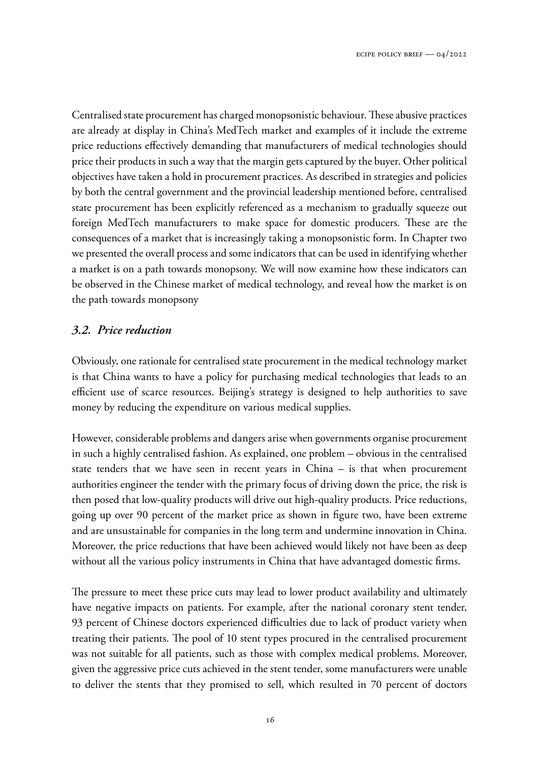Centralised state procurement has charged monopsonistic behaviour. These abusive practices are already at display in China's MedTech market and examples of it include the extreme price reductions effectively demanding that manufacturers of medical technologies should price their products in such a way that the margin gets captured by the buyer. Other political objectives have taken a hold in procurement practices. As described in strategies and policies by both the central government and the provincial leadership mentioned before, centralised state procurement has been explicitly referenced as a mechanism to gradually squeeze out foreign MedTech manufacturers to make space for domestic producers. These are the consequences of a market that is increasingly taking a monopsonistic form. In Chapter two we presented the overall process and some indicators that can be used in identifying whether a market is on a path towards monopsony. We will now examine how these indicators can be observed in the Chinese market of medical technology, and reveal how the market is on the path towards monopsony

# *3.2. Price reduction*

Obviously, one rationale for centralised state procurement in the medical technology market is that China wants to have a policy for purchasing medical technologies that leads to an efficient use of scarce resources. Beijing's strategy is designed to help authorities to save money by reducing the expenditure on various medical supplies.

However, considerable problems and dangers arise when governments organise procurement in such a highly centralised fashion. As explained, one problem – obvious in the centralised state tenders that we have seen in recent years in China – is that when procurement authorities engineer the tender with the primary focus of driving down the price, the risk is then posed that low-quality products will drive out high-quality products. Price reductions, going up over 90 percent of the market price as shown in figure two, have been extreme and are unsustainable for companies in the long term and undermine innovation in China. Moreover, the price reductions that have been achieved would likely not have been as deep without all the various policy instruments in China that have advantaged domestic firms.

The pressure to meet these price cuts may lead to lower product availability and ultimately have negative impacts on patients. For example, after the national coronary stent tender, 93 percent of Chinese doctors experienced difficulties due to lack of product variety when treating their patients. The pool of 10 stent types procured in the centralised procurement was not suitable for all patients, such as those with complex medical problems. Moreover, given the aggressive price cuts achieved in the stent tender, some manufacturers were unable to deliver the stents that they promised to sell, which resulted in 70 percent of doctors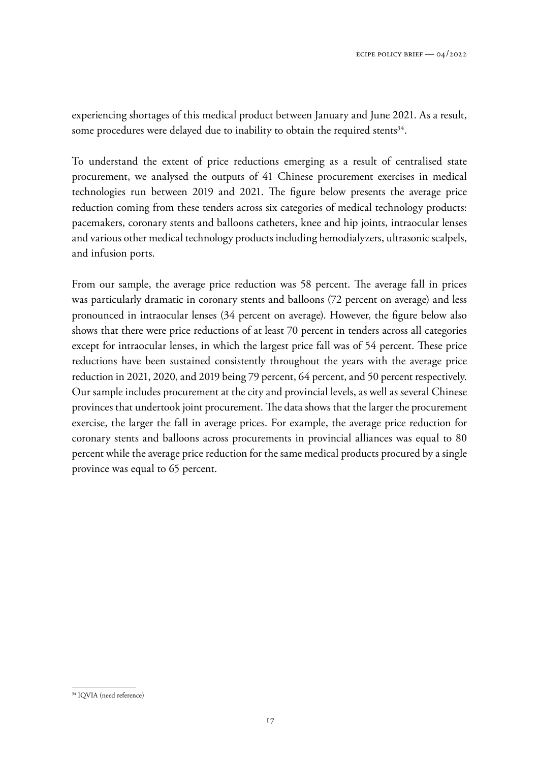experiencing shortages of this medical product between January and June 2021. As a result, some procedures were delayed due to inability to obtain the required stents<sup>34</sup>.

To understand the extent of price reductions emerging as a result of centralised state procurement, we analysed the outputs of 41 Chinese procurement exercises in medical technologies run between 2019 and 2021. The figure below presents the average price reduction coming from these tenders across six categories of medical technology products: pacemakers, coronary stents and balloons catheters, knee and hip joints, intraocular lenses and various other medical technology products including hemodialyzers, ultrasonic scalpels, and infusion ports.

From our sample, the average price reduction was 58 percent. The average fall in prices was particularly dramatic in coronary stents and balloons (72 percent on average) and less pronounced in intraocular lenses (34 percent on average). However, the figure below also shows that there were price reductions of at least 70 percent in tenders across all categories except for intraocular lenses, in which the largest price fall was of 54 percent. These price reductions have been sustained consistently throughout the years with the average price reduction in 2021, 2020, and 2019 being 79 percent, 64 percent, and 50 percent respectively. Our sample includes procurement at the city and provincial levels, as well as several Chinese provinces that undertook joint procurement. The data shows that the larger the procurement exercise, the larger the fall in average prices. For example, the average price reduction for coronary stents and balloons across procurements in provincial alliances was equal to 80 percent while the average price reduction for the same medical products procured by a single province was equal to 65 percent.

<sup>&</sup>lt;sup>34</sup> IQVIA (need reference)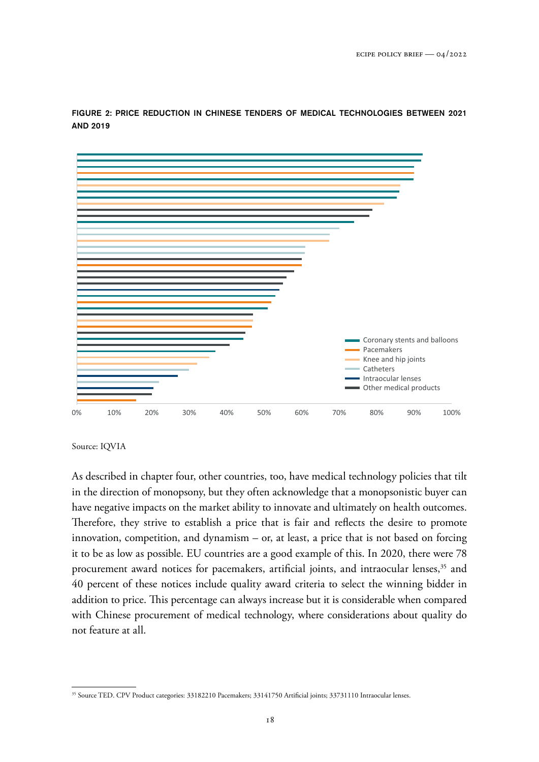

FIGURE 2: PRICE REDUCTION IN CHINESE TENDERS OF MEDICAL TECHNOLOGIES BETWEEN 2021 AND 2019

Source: IQVIA

As described in chapter four, other countries, too, have medical technology policies that tilt in the direction of monopsony, but they often acknowledge that a monopsonistic buyer can have negative impacts on the market ability to innovate and ultimately on health outcomes. Therefore, they strive to establish a price that is fair and reflects the desire to promote innovation, competition, and dynamism – or, at least, a price that is not based on forcing it to be as low as possible. EU countries are a good example of this. In 2020, there were 78 procurement award notices for pacemakers, artificial joints, and intraocular lenses,<sup>35</sup> and 40 percent of these notices include quality award criteria to select the winning bidder in addition to price. This percentage can always increase but it is considerable when compared with Chinese procurement of medical technology, where considerations about quality do not feature at all.

<sup>35</sup> Source TED. CPV Product categories: 33182210 Pacemakers; 33141750 Artificial joints; 33731110 Intraocular lenses.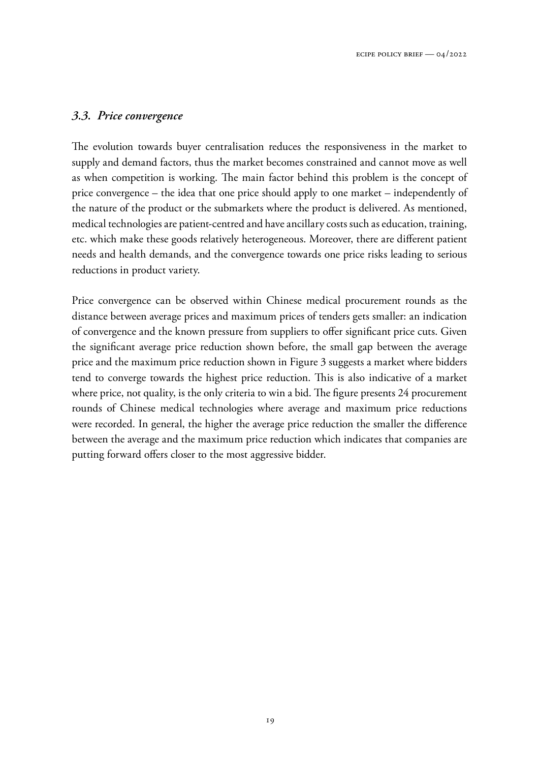#### *3.3. Price convergence*

The evolution towards buyer centralisation reduces the responsiveness in the market to supply and demand factors, thus the market becomes constrained and cannot move as well as when competition is working. The main factor behind this problem is the concept of price convergence – the idea that one price should apply to one market – independently of the nature of the product or the submarkets where the product is delivered. As mentioned, medical technologies are patient-centred and have ancillary costs such as education, training, etc. which make these goods relatively heterogeneous. Moreover, there are different patient needs and health demands, and the convergence towards one price risks leading to serious reductions in product variety.

Price convergence can be observed within Chinese medical procurement rounds as the distance between average prices and maximum prices of tenders gets smaller: an indication of convergence and the known pressure from suppliers to offer significant price cuts. Given the significant average price reduction shown before, the small gap between the average price and the maximum price reduction shown in Figure 3 suggests a market where bidders tend to converge towards the highest price reduction. This is also indicative of a market where price, not quality, is the only criteria to win a bid. The figure presents 24 procurement rounds of Chinese medical technologies where average and maximum price reductions were recorded. In general, the higher the average price reduction the smaller the difference between the average and the maximum price reduction which indicates that companies are putting forward offers closer to the most aggressive bidder.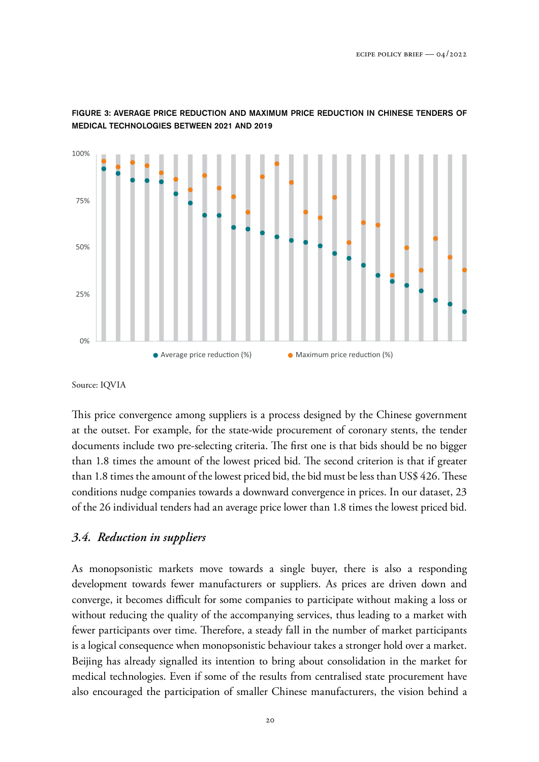

FIGURE 3: AVERAGE PRICE REDUCTION AND MAXIMUM PRICE REDUCTION IN CHINESE TENDERS OF MEDICAL TECHNOLOGIES BETWEEN 2021 AND 2019

Source: IQVIA

This price convergence among suppliers is a process designed by the Chinese government at the outset. For example, for the state-wide procurement of coronary stents, the tender documents include two pre-selecting criteria. The first one is that bids should be no bigger than 1.8 times the amount of the lowest priced bid. The second criterion is that if greater than 1.8 times the amount of the lowest priced bid, the bid must be less than US\$ 426. These conditions nudge companies towards a downward convergence in prices. In our dataset, 23 of the 26 individual tenders had an average price lower than 1.8 times the lowest priced bid.

# *3.4. Reduction in suppliers*

As monopsonistic markets move towards a single buyer, there is also a responding development towards fewer manufacturers or suppliers. As prices are driven down and converge, it becomes difficult for some companies to participate without making a loss or without reducing the quality of the accompanying services, thus leading to a market with fewer participants over time. Therefore, a steady fall in the number of market participants is a logical consequence when monopsonistic behaviour takes a stronger hold over a market. Beijing has already signalled its intention to bring about consolidation in the market for medical technologies. Even if some of the results from centralised state procurement have also encouraged the participation of smaller Chinese manufacturers, the vision behind a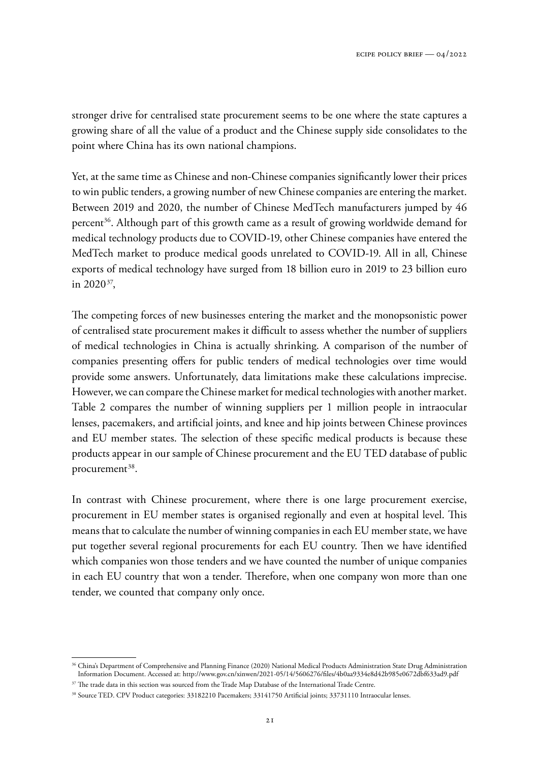stronger drive for centralised state procurement seems to be one where the state captures a growing share of all the value of a product and the Chinese supply side consolidates to the point where China has its own national champions.

Yet, at the same time as Chinese and non-Chinese companies significantly lower their prices to win public tenders, a growing number of new Chinese companies are entering the market. Between 2019 and 2020, the number of Chinese MedTech manufacturers jumped by 46 percent<sup>36</sup>. Although part of this growth came as a result of growing worldwide demand for medical technology products due to COVID-19, other Chinese companies have entered the MedTech market to produce medical goods unrelated to COVID-19. All in all, Chinese exports of medical technology have surged from 18 billion euro in 2019 to 23 billion euro in  $2020^{37}$ ,

The competing forces of new businesses entering the market and the monopsonistic power of centralised state procurement makes it difficult to assess whether the number of suppliers of medical technologies in China is actually shrinking. A comparison of the number of companies presenting offers for public tenders of medical technologies over time would provide some answers. Unfortunately, data limitations make these calculations imprecise. However, we can compare the Chinese market for medical technologies with another market. Table 2 compares the number of winning suppliers per 1 million people in intraocular lenses, pacemakers, and artificial joints, and knee and hip joints between Chinese provinces and EU member states. The selection of these specific medical products is because these products appear in our sample of Chinese procurement and the EU TED database of public procurement<sup>38</sup>.

In contrast with Chinese procurement, where there is one large procurement exercise, procurement in EU member states is organised regionally and even at hospital level. This means that to calculate the number of winning companies in each EU member state, we have put together several regional procurements for each EU country. Then we have identified which companies won those tenders and we have counted the number of unique companies in each EU country that won a tender. Therefore, when one company won more than one tender, we counted that company only once.

<sup>36</sup> China's Department of Comprehensive and Planning Finance (2020) National Medical Products Administration State Drug Administration Information Document. Accessed at: <http://www.gov.cn/xinwen/2021-05/14/5606276/files/4b0aa9334e8d42b985e0672dbf633ad9.pdf>

<sup>&</sup>lt;sup>37</sup> The trade data in this section was sourced from the Trade Map Database of the International Trade Centre.

<sup>38</sup> Source TED. CPV Product categories: 33182210 Pacemakers; 33141750 Artificial joints; 33731110 Intraocular lenses.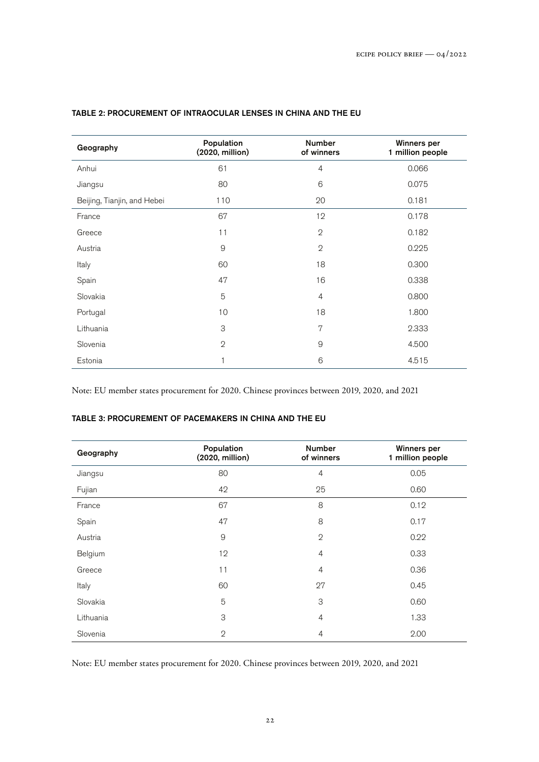| Geography                   | Population<br>(2020, million) | <b>Number</b><br>of winners | <b>Winners per</b><br>1 million people |
|-----------------------------|-------------------------------|-----------------------------|----------------------------------------|
| Anhui                       | 61                            | $\overline{4}$              | 0.066                                  |
| Jiangsu                     | 80                            | 6                           | 0.075                                  |
| Beijing, Tianjin, and Hebei | 110                           | 20                          | 0.181                                  |
| France                      | 67                            | 12                          | 0.178                                  |
| Greece                      | 11                            | $\mathfrak{D}$              | 0.182                                  |
| Austria                     | $\mathsf{9}$                  | $\mathbf 2$                 | 0.225                                  |
| Italy                       | 60                            | 18                          | 0.300                                  |
| Spain                       | 47                            | 16                          | 0.338                                  |
| Slovakia                    | 5                             | $\overline{4}$              | 0.800                                  |
| Portugal                    | 10                            | 18                          | 1.800                                  |
| Lithuania                   | 3                             | 7                           | 2.333                                  |
| Slovenia                    | $\mathbf{2}$                  | $\overline{9}$              | 4.500                                  |
| Estonia                     | 1                             | 6                           | 4.515                                  |

#### TABLE 2: PROCUREMENT OF INTRAOCULAR LENSES IN CHINA AND THE EU

Note: EU member states procurement for 2020. Chinese provinces between 2019, 2020, and 2021

#### TABLE 3: PROCUREMENT OF PACEMAKERS IN CHINA AND THE EU

| Geography | Population<br>(2020, million) | <b>Number</b><br>of winners | <b>Winners per</b><br>1 million people |
|-----------|-------------------------------|-----------------------------|----------------------------------------|
| Jiangsu   | 80                            | $\overline{4}$              | 0.05                                   |
| Fujian    | 42                            | 25                          | 0.60                                   |
| France    | 67                            | 8                           | 0.12                                   |
| Spain     | 47                            | 8                           | 0.17                                   |
| Austria   | 9                             | $\mathbf{2}$                | 0.22                                   |
| Belgium   | 12                            | $\overline{4}$              | 0.33                                   |
| Greece    | 11                            | $\overline{4}$              | 0.36                                   |
| Italy     | 60                            | 27                          | 0.45                                   |
| Slovakia  | 5                             | 3                           | 0.60                                   |
| Lithuania | 3                             | 4                           | 1.33                                   |
| Slovenia  | $\mathbf{2}$                  | 4                           | 2.00                                   |

Note: EU member states procurement for 2020. Chinese provinces between 2019, 2020, and 2021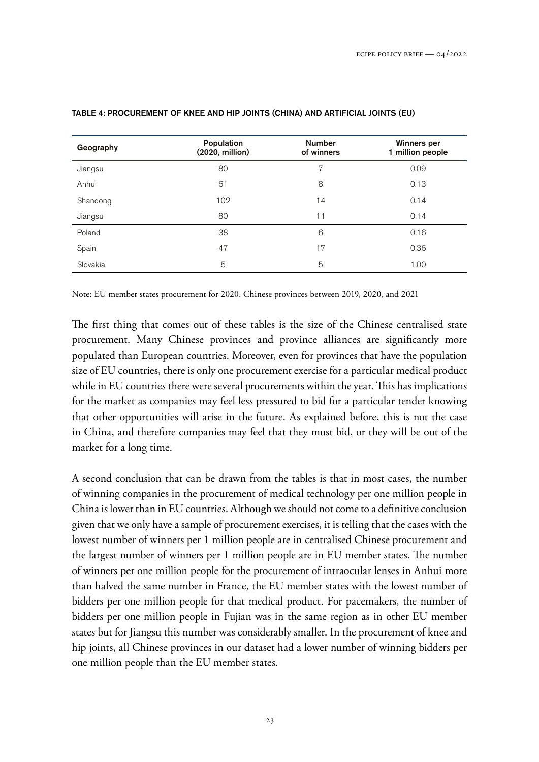| Geography | Population<br>(2020, million) | <b>Number</b><br>of winners | <b>Winners per</b><br>1 million people |
|-----------|-------------------------------|-----------------------------|----------------------------------------|
| Jiangsu   | 80                            | 7                           | 0.09                                   |
| Anhui     | 61                            | 8                           | 0.13                                   |
| Shandong  | 102                           | 14                          | 0.14                                   |
| Jiangsu   | 80                            | 11                          | 0.14                                   |
| Poland    | 38                            | 6                           | 0.16                                   |
| Spain     | 47                            | 17                          | 0.36                                   |
| Slovakia  | 5                             | 5                           | 1.00                                   |

#### TABLE 4: PROCUREMENT OF KNEE AND HIP JOINTS (CHINA) AND ARTIFICIAL JOINTS (EU)

Note: EU member states procurement for 2020. Chinese provinces between 2019, 2020, and 2021

The first thing that comes out of these tables is the size of the Chinese centralised state procurement. Many Chinese provinces and province alliances are significantly more populated than European countries. Moreover, even for provinces that have the population size of EU countries, there is only one procurement exercise for a particular medical product while in EU countries there were several procurements within the year. This has implications for the market as companies may feel less pressured to bid for a particular tender knowing that other opportunities will arise in the future. As explained before, this is not the case in China, and therefore companies may feel that they must bid, or they will be out of the market for a long time.

A second conclusion that can be drawn from the tables is that in most cases, the number of winning companies in the procurement of medical technology per one million people in China is lower than in EU countries. Although we should not come to a definitive conclusion given that we only have a sample of procurement exercises, it is telling that the cases with the lowest number of winners per 1 million people are in centralised Chinese procurement and the largest number of winners per 1 million people are in EU member states. The number of winners per one million people for the procurement of intraocular lenses in Anhui more than halved the same number in France, the EU member states with the lowest number of bidders per one million people for that medical product. For pacemakers, the number of bidders per one million people in Fujian was in the same region as in other EU member states but for Jiangsu this number was considerably smaller. In the procurement of knee and hip joints, all Chinese provinces in our dataset had a lower number of winning bidders per one million people than the EU member states.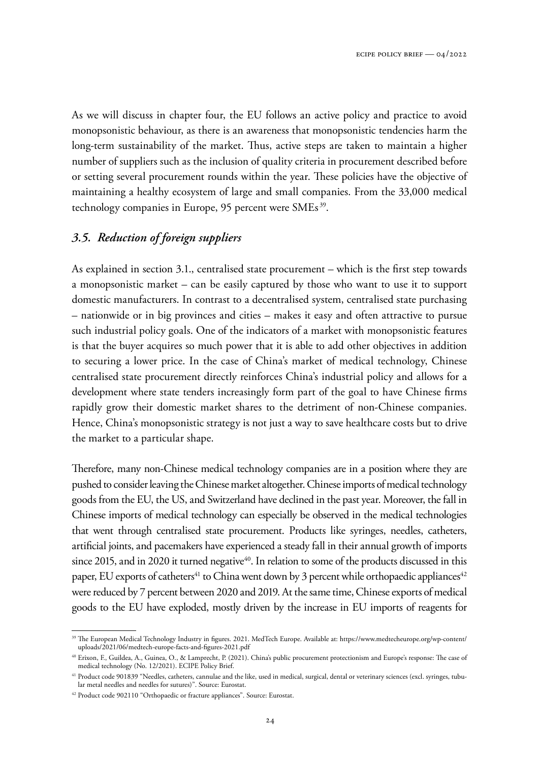As we will discuss in chapter four, the EU follows an active policy and practice to avoid monopsonistic behaviour, as there is an awareness that monopsonistic tendencies harm the long-term sustainability of the market. Thus, active steps are taken to maintain a higher number of suppliers such as the inclusion of quality criteria in procurement described before or setting several procurement rounds within the year. These policies have the objective of maintaining a healthy ecosystem of large and small companies. From the 33,000 medical technology companies in Europe, 95 percent were SMEs<sup>39</sup>.

# *3.5. Reduction of foreign suppliers*

As explained in section 3.1., centralised state procurement – which is the first step towards a monopsonistic market – can be easily captured by those who want to use it to support domestic manufacturers. In contrast to a decentralised system, centralised state purchasing – nationwide or in big provinces and cities – makes it easy and often attractive to pursue such industrial policy goals. One of the indicators of a market with monopsonistic features is that the buyer acquires so much power that it is able to add other objectives in addition to securing a lower price. In the case of China's market of medical technology, Chinese centralised state procurement directly reinforces China's industrial policy and allows for a development where state tenders increasingly form part of the goal to have Chinese firms rapidly grow their domestic market shares to the detriment of non-Chinese companies. Hence, China's monopsonistic strategy is not just a way to save healthcare costs but to drive the market to a particular shape.

Therefore, many non-Chinese medical technology companies are in a position where they are pushed to consider leaving the Chinese market altogether. Chinese imports of medical technology goods from the EU, the US, and Switzerland have declined in the past year. Moreover, the fall in Chinese imports of medical technology can especially be observed in the medical technologies that went through centralised state procurement. Products like syringes, needles, catheters, artificial joints, and pacemakers have experienced a steady fall in their annual growth of imports since 2015, and in 2020 it turned negative<sup>40</sup>. In relation to some of the products discussed in this paper, EU exports of catheters<sup>41</sup> to China went down by 3 percent while orthopaedic appliances<sup>42</sup> were reduced by 7 percent between 2020 and 2019. At the same time, Chinese exports of medical goods to the EU have exploded, mostly driven by the increase in EU imports of reagents for

<sup>39</sup> The European Medical Technology Industry in figures. 2021. MedTech Europe. Available at: [https://www.medtecheurope.org/wp-content/](https://www.medtecheurope.org/wp-content/uploads/2021/06/medtech-europe-facts-and-figures-2021.pdf) [uploads/2021/06/medtech-europe-facts-and-figures-2021.pdf](https://www.medtecheurope.org/wp-content/uploads/2021/06/medtech-europe-facts-and-figures-2021.pdf)

<sup>40</sup> Erixon, F., Guildea, A., Guinea, O., & Lamprecht, P. (2021). China's public procurement protectionism and Europe's response: The case of medical technology (No. 12/2021). ECIPE Policy Brief.

 $^{41}$  Product code 901839 "Needles, catheters, cannulae and the like, used in medical, surgical, dental or veterinary sciences (excl. syringes, tubular metal needles and needles for sutures)". Source: Eurostat.

<sup>42</sup> Product code 902110 "Orthopaedic or fracture appliances". Source: Eurostat.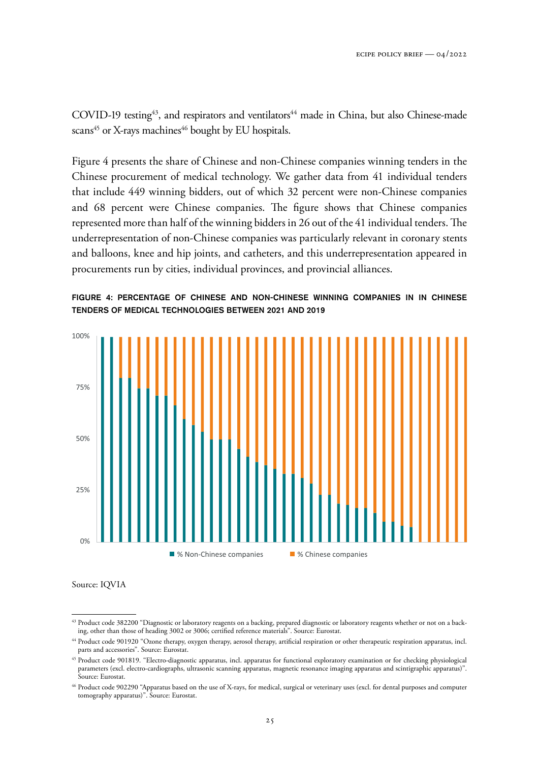COVID-19 testing<sup>43</sup>, and respirators and ventilators<sup>44</sup> made in China, but also Chinese-made scans<sup>45</sup> or X-rays machines<sup>46</sup> bought by EU hospitals.

Figure 4 presents the share of Chinese and non-Chinese companies winning tenders in the Chinese procurement of medical technology. We gather data from 41 individual tenders that include 449 winning bidders, out of which 32 percent were non-Chinese companies and 68 percent were Chinese companies. The figure shows that Chinese companies represented more than half of the winning bidders in 26 out of the 41 individual tenders. The underrepresentation of non-Chinese companies was particularly relevant in coronary stents and balloons, knee and hip joints, and catheters, and this underrepresentation appeared in procurements run by cities, individual provinces, and provincial alliances.





Source: IQVIA

<sup>43</sup> Product code 382200 "Diagnostic or laboratory reagents on a backing, prepared diagnostic or laboratory reagents whether or not on a backing, other than those of heading 3002 or 3006; certified reference materials". Source: Eurostat.

<sup>44</sup> Product code 901920 "Ozone therapy, oxygen therapy, aerosol therapy, artificial respiration or other therapeutic respiration apparatus, incl. parts and accessories". Source: Eurostat.

<sup>45</sup> Product code 901819. "Electro-diagnostic apparatus, incl. apparatus for functional exploratory examination or for checking physiological parameters (excl. electro-cardiographs, ultrasonic scanning apparatus, magnetic resonance imaging apparatus and scintigraphic apparatus)". Source: Eurostat.

<sup>46</sup> Product code 902290 "Apparatus based on the use of X-rays, for medical, surgical or veterinary uses (excl. for dental purposes and computer tomography apparatus)". Source: Eurostat.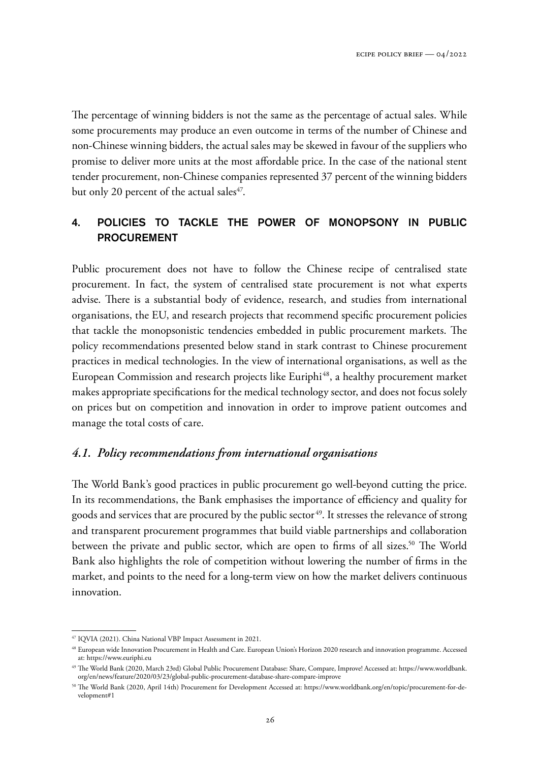The percentage of winning bidders is not the same as the percentage of actual sales. While some procurements may produce an even outcome in terms of the number of Chinese and non-Chinese winning bidders, the actual sales may be skewed in favour of the suppliers who promise to deliver more units at the most affordable price. In the case of the national stent tender procurement, non-Chinese companies represented 37 percent of the winning bidders but only 20 percent of the actual sales $47$ .

# 4. POLICIES TO TACKLE THE POWER OF MONOPSONY IN PUBLIC PROCUREMENT

Public procurement does not have to follow the Chinese recipe of centralised state procurement. In fact, the system of centralised state procurement is not what experts advise. There is a substantial body of evidence, research, and studies from international organisations, the EU, and research projects that recommend specific procurement policies that tackle the monopsonistic tendencies embedded in public procurement markets. The policy recommendations presented below stand in stark contrast to Chinese procurement practices in medical technologies. In the view of international organisations, as well as the European Commission and research projects like Euriphi<sup>48</sup>, a healthy procurement market makes appropriate specifications for the medical technology sector, and does not focus solely on prices but on competition and innovation in order to improve patient outcomes and manage the total costs of care.

# *4.1. Policy recommendations from international organisations*

The World Bank's good practices in public procurement go well-beyond cutting the price. In its recommendations, the Bank emphasises the importance of efficiency and quality for goods and services that are procured by the public sector<sup>49</sup>. It stresses the relevance of strong and transparent procurement programmes that build viable partnerships and collaboration between the private and public sector, which are open to firms of all sizes.<sup>50</sup> The World Bank also highlights the role of competition without lowering the number of firms in the market, and points to the need for a long-term view on how the market delivers continuous innovation.

<sup>47</sup> IQVIA (2021). China National VBP Impact Assessment in 2021.

<sup>48</sup> European wide Innovation Procurement in Health and Care. European Union's Horizon 2020 research and innovation programme. Accessed at: <https://www.euriphi.eu>

<sup>49</sup> The World Bank (2020, March 23rd) Global Public Procurement Database: Share, Compare, Improve! Accessed at: [https://www.worldbank.](https://www.worldbank.org/en/news/feature/2020/03/23/global-public-procurement-database-share-compare-improve) [org/en/news/feature/2020/03/23/global-public-procurement-database-share-compare-improve](https://www.worldbank.org/en/news/feature/2020/03/23/global-public-procurement-database-share-compare-improve)

<sup>50</sup> The World Bank (2020, April 14th) Procurement for Development Accessed at: [https://www.worldbank.org/en/topic/procurement-for-de](https://www.worldbank.org/en/topic/procurement-for-development#1)[velopment#1](https://www.worldbank.org/en/topic/procurement-for-development#1)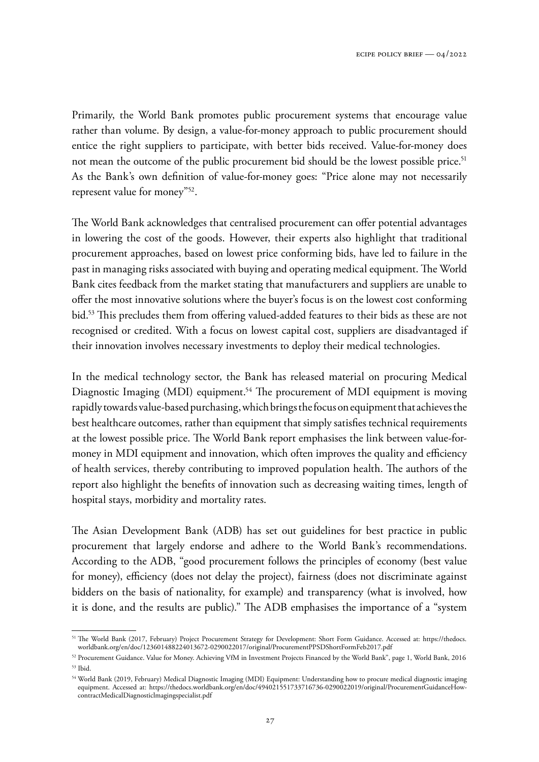Primarily, the World Bank promotes public procurement systems that encourage value rather than volume. By design, a value-for-money approach to public procurement should entice the right suppliers to participate, with better bids received. Value-for-money does not mean the outcome of the public procurement bid should be the lowest possible price.<sup>51</sup> As the Bank's own definition of value-for-money goes: "Price alone may not necessarily represent value for money"<sup>52</sup>.

The World Bank acknowledges that centralised procurement can offer potential advantages in lowering the cost of the goods. However, their experts also highlight that traditional procurement approaches, based on lowest price conforming bids, have led to failure in the past in managing risks associated with buying and operating medical equipment. The World Bank cites feedback from the market stating that manufacturers and suppliers are unable to offer the most innovative solutions where the buyer's focus is on the lowest cost conforming bid.<sup>53</sup> This precludes them from offering valued-added features to their bids as these are not recognised or credited. With a focus on lowest capital cost, suppliers are disadvantaged if their innovation involves necessary investments to deploy their medical technologies.

In the medical technology sector, the Bank has released material on procuring Medical Diagnostic Imaging (MDI) equipment.<sup>54</sup> The procurement of MDI equipment is moving rapidly towards value-based purchasing, which brings the focus on equipment that achieves the best healthcare outcomes, rather than equipment that simply satisfies technical requirements at the lowest possible price. The World Bank report emphasises the link between value-formoney in MDI equipment and innovation, which often improves the quality and efficiency of health services, thereby contributing to improved population health. The authors of the report also highlight the benefits of innovation such as decreasing waiting times, length of hospital stays, morbidity and mortality rates.

The Asian Development Bank (ADB) has set out guidelines for best practice in public procurement that largely endorse and adhere to the World Bank's recommendations. According to the ADB, "good procurement follows the principles of economy (best value for money), efficiency (does not delay the project), fairness (does not discriminate against bidders on the basis of nationality, for example) and transparency (what is involved, how it is done, and the results are public)." The ADB emphasises the importance of a "system

<sup>51</sup> The World Bank (2017, February) Project Procurement Strategy for Development: Short Form Guidance. Accessed at: [https://thedocs.](https://thedocs.worldbank.org/en/doc/123601488224013672-0290022017/original/ProcurementPPSDShortFormFeb2017.pdf) [worldbank.org/en/doc/123601488224013672-0290022017/original/ProcurementPPSDShortFormFeb2017.pdf](https://thedocs.worldbank.org/en/doc/123601488224013672-0290022017/original/ProcurementPPSDShortFormFeb2017.pdf)

<sup>52</sup> Procurement Guidance. Value for Money. Achieving VfM in Investment Projects Financed by the World Bank", page 1, World Bank, 2016 <sup>53</sup> Ibid.

<sup>54</sup> World Bank (2019, February) Medical Diagnostic Imaging (MDI) Equipment: Understanding how to procure medical diagnostic imaging equipment. Accessed at: [https://thedocs.worldbank.org/en/doc/494021551733716736-0290022019/original/ProcurementGuidanceHow](https://thedocs.worldbank.org/en/doc/494021551733716736-0290022019/original/ProcurementGuidanceHowcontractMedicalDiagnosticlmagingspecialist.pdf)[contractMedicalDiagnosticlmagingspecialist.pdf](https://thedocs.worldbank.org/en/doc/494021551733716736-0290022019/original/ProcurementGuidanceHowcontractMedicalDiagnosticlmagingspecialist.pdf)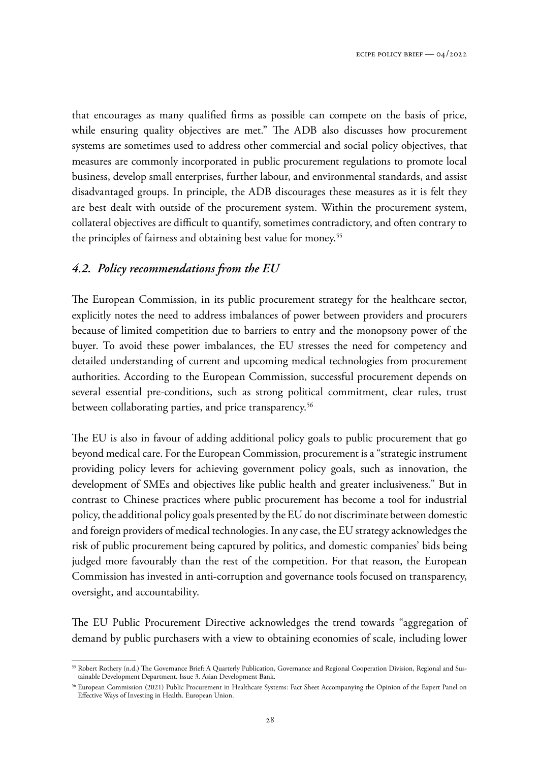that encourages as many qualified firms as possible can compete on the basis of price, while ensuring quality objectives are met." The ADB also discusses how procurement systems are sometimes used to address other commercial and social policy objectives, that measures are commonly incorporated in public procurement regulations to promote local business, develop small enterprises, further labour, and environmental standards, and assist disadvantaged groups. In principle, the ADB discourages these measures as it is felt they are best dealt with outside of the procurement system. Within the procurement system, collateral objectives are difficult to quantify, sometimes contradictory, and often contrary to the principles of fairness and obtaining best value for money.<sup>55</sup>

# *4.2. Policy recommendations from the EU*

The European Commission, in its public procurement strategy for the healthcare sector, explicitly notes the need to address imbalances of power between providers and procurers because of limited competition due to barriers to entry and the monopsony power of the buyer. To avoid these power imbalances, the EU stresses the need for competency and detailed understanding of current and upcoming medical technologies from procurement authorities. According to the European Commission, successful procurement depends on several essential pre-conditions, such as strong political commitment, clear rules, trust between collaborating parties, and price transparency.<sup>56</sup>

The EU is also in favour of adding additional policy goals to public procurement that go beyond medical care. For the European Commission, procurement is a "strategic instrument providing policy levers for achieving government policy goals, such as innovation, the development of SMEs and objectives like public health and greater inclusiveness." But in contrast to Chinese practices where public procurement has become a tool for industrial policy, the additional policy goals presented by the EU do not discriminate between domestic and foreign providers of medical technologies. In any case, the EU strategy acknowledges the risk of public procurement being captured by politics, and domestic companies' bids being judged more favourably than the rest of the competition. For that reason, the European Commission has invested in anti-corruption and governance tools focused on transparency, oversight, and accountability.

The EU Public Procurement Directive acknowledges the trend towards "aggregation of demand by public purchasers with a view to obtaining economies of scale, including lower

<sup>55</sup> Robert Rothery (n.d.) The Governance Brief: A Quarterly Publication, Governance and Regional Cooperation Division, Regional and Sustainable Development Department. Issue 3. Asian Development Bank.

<sup>56</sup> European Commission (2021) Public Procurement in Healthcare Systems: Fact Sheet Accompanying the Opinion of the Expert Panel on Effective Ways of Investing in Health. European Union.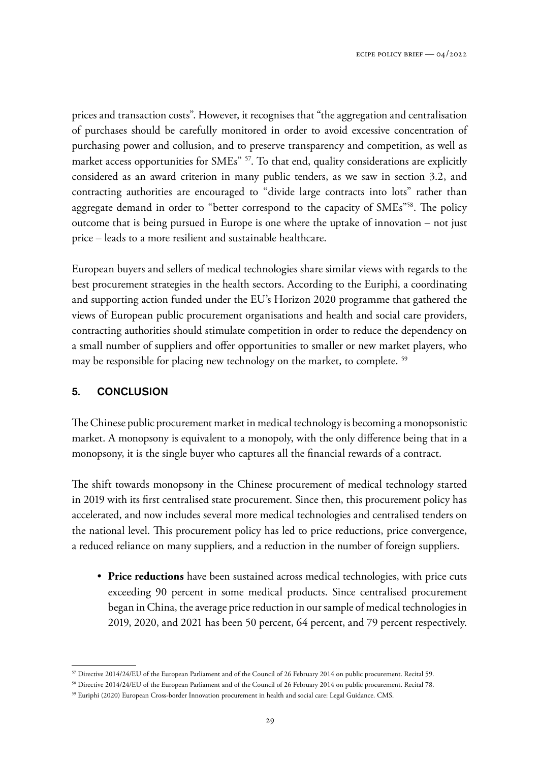prices and transaction costs". However, it recognises that "the aggregation and centralisation of purchases should be carefully monitored in order to avoid excessive concentration of purchasing power and collusion, and to preserve transparency and competition, as well as market access opportunities for SMEs" <sup>57</sup>. To that end, quality considerations are explicitly considered as an award criterion in many public tenders, as we saw in section 3.2, and contracting authorities are encouraged to "divide large contracts into lots" rather than aggregate demand in order to "better correspond to the capacity of SMEs"<sup>58</sup>. The policy outcome that is being pursued in Europe is one where the uptake of innovation – not just price – leads to a more resilient and sustainable healthcare.

European buyers and sellers of medical technologies share similar views with regards to the best procurement strategies in the health sectors. According to the Euriphi, a coordinating and supporting action funded under the EU's Horizon 2020 programme that gathered the views of European public procurement organisations and health and social care providers, contracting authorities should stimulate competition in order to reduce the dependency on a small number of suppliers and offer opportunities to smaller or new market players, who may be responsible for placing new technology on the market, to complete. <sup>59</sup>

# 5. CONCLUSION

The Chinese public procurement market in medical technology is becoming a monopsonistic market. A monopsony is equivalent to a monopoly, with the only difference being that in a monopsony, it is the single buyer who captures all the financial rewards of a contract.

The shift towards monopsony in the Chinese procurement of medical technology started in 2019 with its first centralised state procurement. Since then, this procurement policy has accelerated, and now includes several more medical technologies and centralised tenders on the national level. This procurement policy has led to price reductions, price convergence, a reduced reliance on many suppliers, and a reduction in the number of foreign suppliers.

 • **Price reductions** have been sustained across medical technologies, with price cuts exceeding 90 percent in some medical products. Since centralised procurement began in China, the average price reduction in our sample of medical technologies in 2019, 2020, and 2021 has been 50 percent, 64 percent, and 79 percent respectively.

<sup>57</sup> Directive 2014/24/EU of the European Parliament and of the Council of 26 February 2014 on public procurement. Recital 59.

<sup>58</sup> Directive 2014/24/EU of the European Parliament and of the Council of 26 February 2014 on public procurement. Recital 78.

<sup>59</sup> Euriphi (2020) European Cross-border Innovation procurement in health and social care: Legal Guidance. CMS.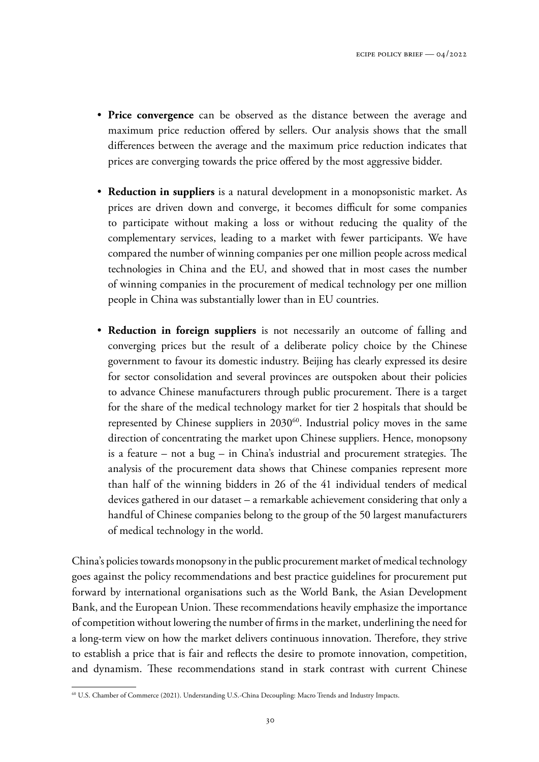- **Price convergence** can be observed as the distance between the average and maximum price reduction offered by sellers. Our analysis shows that the small differences between the average and the maximum price reduction indicates that prices are converging towards the price offered by the most aggressive bidder.
- **Reduction in suppliers** is a natural development in a monopsonistic market. As prices are driven down and converge, it becomes difficult for some companies to participate without making a loss or without reducing the quality of the complementary services, leading to a market with fewer participants. We have compared the number of winning companies per one million people across medical technologies in China and the EU, and showed that in most cases the number of winning companies in the procurement of medical technology per one million people in China was substantially lower than in EU countries.
- **Reduction in foreign suppliers** is not necessarily an outcome of falling and converging prices but the result of a deliberate policy choice by the Chinese government to favour its domestic industry. Beijing has clearly expressed its desire for sector consolidation and several provinces are outspoken about their policies to advance Chinese manufacturers through public procurement. There is a target for the share of the medical technology market for tier 2 hospitals that should be represented by Chinese suppliers in 2030<sup>60</sup>. Industrial policy moves in the same direction of concentrating the market upon Chinese suppliers. Hence, monopsony is a feature – not a bug – in China's industrial and procurement strategies. The analysis of the procurement data shows that Chinese companies represent more than half of the winning bidders in 26 of the 41 individual tenders of medical devices gathered in our dataset – a remarkable achievement considering that only a handful of Chinese companies belong to the group of the 50 largest manufacturers of medical technology in the world.

China's policies towards monopsony in the public procurement market of medical technology goes against the policy recommendations and best practice guidelines for procurement put forward by international organisations such as the World Bank, the Asian Development Bank, and the European Union. These recommendations heavily emphasize the importance of competition without lowering the number of firms in the market, underlining the need for a long-term view on how the market delivers continuous innovation. Therefore, they strive to establish a price that is fair and reflects the desire to promote innovation, competition, and dynamism. These recommendations stand in stark contrast with current Chinese

<sup>60</sup> U.S. Chamber of Commerce (2021). Understanding U.S.-China Decoupling: Macro Trends and Industry Impacts.